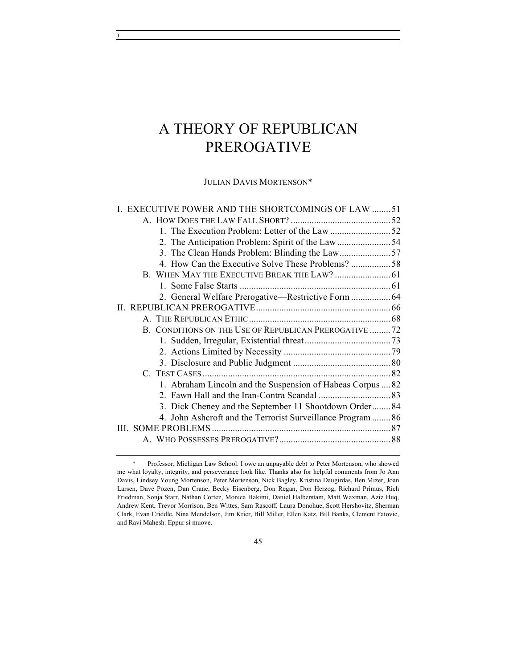# A THEORY OF REPUBLICAN PREROGATIVE

)

JULIAN DAVIS MORTENSON\*

| I. EXECUTIVE POWER AND THE SHORTCOMINGS OF LAW 51           |  |
|-------------------------------------------------------------|--|
|                                                             |  |
|                                                             |  |
|                                                             |  |
|                                                             |  |
|                                                             |  |
|                                                             |  |
|                                                             |  |
|                                                             |  |
|                                                             |  |
|                                                             |  |
| B. CONDITIONS ON THE USE OF REPUBLICAN PREROGATIVE 72       |  |
|                                                             |  |
|                                                             |  |
|                                                             |  |
|                                                             |  |
| 1. Abraham Lincoln and the Suspension of Habeas Corpus  82  |  |
|                                                             |  |
| 3. Dick Cheney and the September 11 Shootdown Order84       |  |
| 4. John Ashcroft and the Terrorist Surveillance Program  86 |  |
|                                                             |  |
|                                                             |  |
|                                                             |  |

<sup>\*.</sup> Professor, Michigan Law School. I owe an unpayable debt to Peter Mortenson, who showed me what loyalty, integrity, and perseverance look like. Thanks also for helpful comments from Jo Ann Davis, Lindsey Young Mortenson, Peter Mortenson, Nick Bagley, Kristina Daugirdas, Ben Mizer, Joan Larsen, Dave Pozen, Dan Crane, Becky Eisenberg, Don Regan, Don Herzog, Richard Primus, Rich Friedman, Sonja Starr, Nathan Cortez, Monica Hakimi, Daniel Halberstam, Matt Waxman, Aziz Huq, Andrew Kent, Trevor Morrison, Ben Wittes, Sam Rascoff, Laura Donohue, Scott Hershovitz, Sherman Clark, Evan Criddle, Nina Mendelson, Jim Krier, Bill Miller, Ellen Katz, Bill Banks, Clement Fatovic, and Ravi Mahesh. Eppur si muove.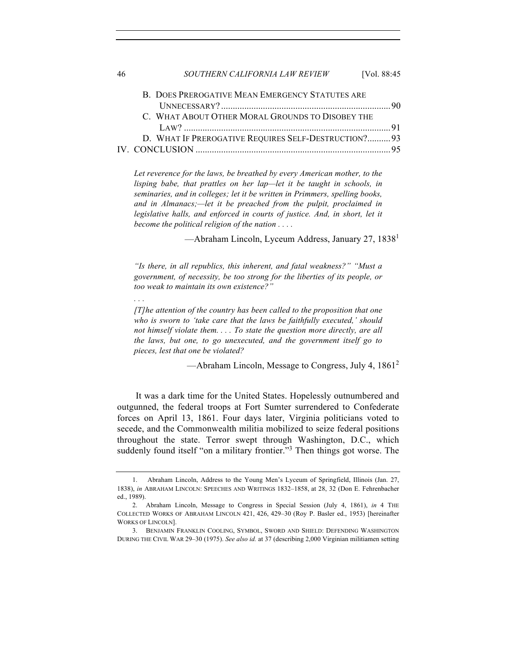| 46 | SOUTHERN CALIFORNIA LAW REVIEW                       | [Vol. 88:45] |
|----|------------------------------------------------------|--------------|
|    | B. DOES PREROGATIVE MEAN EMERGENCY STATUTES ARE      |              |
|    |                                                      |              |
|    | C. WHAT ABOUT OTHER MORAL GROUNDS TO DISOBEY THE     |              |
|    |                                                      |              |
|    | D. WHAT IF PREROGATIVE REQUIRES SELF-DESTRUCTION? 93 |              |

IV. CONCLUSION ....................................................................................95

*Let reverence for the laws, be breathed by every American mother, to the lisping babe, that prattles on her lap—let it be taught in schools, in seminaries, and in colleges; let it be written in Primmers, spelling books, and in Almanacs;—let it be preached from the pulpit, proclaimed in legislative halls, and enforced in courts of justice. And, in short, let it become the political religion of the nation . . . .*

—Abraham Lincoln, Lyceum Address, January 27, 18381

*"Is there, in all republics, this inherent, and fatal weakness?" "Must a government, of necessity, be too strong for the liberties of its people, or too weak to maintain its own existence?"*

*. . .*

*[T]he attention of the country has been called to the proposition that one who is sworn to 'take care that the laws be faithfully executed,' should not himself violate them. . . . To state the question more directly, are all the laws, but one, to go unexecuted, and the government itself go to pieces, lest that one be violated?*

—Abraham Lincoln, Message to Congress, July 4,  $1861<sup>2</sup>$ 

It was a dark time for the United States. Hopelessly outnumbered and outgunned, the federal troops at Fort Sumter surrendered to Confederate forces on April 13, 1861. Four days later, Virginia politicians voted to secede, and the Commonwealth militia mobilized to seize federal positions throughout the state. Terror swept through Washington, D.C., which suddenly found itself "on a military frontier."<sup>3</sup> Then things got worse. The

<sup>1.</sup> Abraham Lincoln, Address to the Young Men's Lyceum of Springfield, Illinois (Jan. 27, 1838), *in* ABRAHAM LINCOLN: SPEECHES AND WRITINGS 1832–1858, at 28, 32 (Don E. Fehrenbacher ed., 1989).

<sup>2.</sup> Abraham Lincoln, Message to Congress in Special Session (July 4, 1861), *in* 4 THE COLLECTED WORKS OF ABRAHAM LINCOLN 421, 426, 429–30 (Roy P. Basler ed., 1953) [hereinafter WORKS OF LINCOLN].

<sup>3.</sup> BENJAMIN FRANKLIN COOLING, SYMBOL, SWORD AND SHIELD: DEFENDING WASHINGTON DURING THE CIVIL WAR 29–30 (1975). *See also id.* at 37 (describing 2,000 Virginian militiamen setting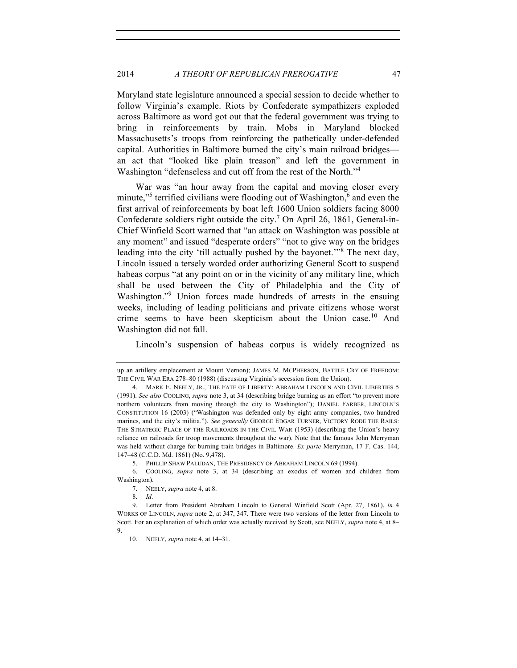Maryland state legislature announced a special session to decide whether to follow Virginia's example. Riots by Confederate sympathizers exploded across Baltimore as word got out that the federal government was trying to bring in reinforcements by train. Mobs in Maryland blocked Massachusetts's troops from reinforcing the pathetically under-defended capital. Authorities in Baltimore burned the city's main railroad bridges an act that "looked like plain treason" and left the government in Washington "defenseless and cut off from the rest of the North."<sup>4</sup>

War was "an hour away from the capital and moving closer every minute,"<sup>5</sup> terrified civilians were flooding out of Washington, $6$  and even the first arrival of reinforcements by boat left 1600 Union soldiers facing 8000 Confederate soldiers right outside the city.<sup>7</sup> On April 26, 1861, General-in-Chief Winfield Scott warned that "an attack on Washington was possible at any moment" and issued "desperate orders" "not to give way on the bridges leading into the city 'till actually pushed by the bayonet.'<sup>3</sup> The next day, Lincoln issued a tersely worded order authorizing General Scott to suspend habeas corpus "at any point on or in the vicinity of any military line, which shall be used between the City of Philadelphia and the City of Washington."<sup>9</sup> Union forces made hundreds of arrests in the ensuing weeks, including of leading politicians and private citizens whose worst crime seems to have been skepticism about the Union case.<sup>10</sup> And Washington did not fall.

Lincoln's suspension of habeas corpus is widely recognized as

5. PHILLIP SHAW PALUDAN, THE PRESIDENCY OF ABRAHAM LINCOLN 69 (1994).

6. COOLING, *supra* note 3, at 34 (describing an exodus of women and children from Washington).

7. NEELY, *supra* note 4, at 8.

up an artillery emplacement at Mount Vernon); JAMES M. MCPHERSON, BATTLE CRY OF FREEDOM: THE CIVIL WAR ERA 278–80 (1988) (discussing Virginia's secession from the Union).

<sup>4.</sup> MARK E. NEELY, JR., THE FATE OF LIBERTY: ABRAHAM LINCOLN AND CIVIL LIBERTIES 5 (1991). *See also* COOLING, *supra* note 3, at 34 (describing bridge burning as an effort "to prevent more northern volunteers from moving through the city to Washington"); DANIEL FARBER, LINCOLN'S CONSTITUTION 16 (2003) ("Washington was defended only by eight army companies, two hundred marines, and the city's militia."). *See generally* GEORGE EDGAR TURNER, VICTORY RODE THE RAILS: THE STRATEGIC PLACE OF THE RAILROADS IN THE CIVIL WAR (1953) (describing the Union's heavy reliance on railroads for troop movements throughout the war). Note that the famous John Merryman was held without charge for burning train bridges in Baltimore. *Ex parte* Merryman, 17 F. Cas. 144, 147–48 (C.C.D. Md. 1861) (No. 9,478).

<sup>8.</sup> *Id*.

<sup>9.</sup> Letter from President Abraham Lincoln to General Winfield Scott (Apr. 27, 1861), *in* 4 WORKS OF LINCOLN, *supra* note 2, at 347, 347. There were two versions of the letter from Lincoln to Scott. For an explanation of which order was actually received by Scott, see NEELY, *supra* note 4, at 8– 9.

<sup>10.</sup> NEELY, *supra* note 4, at 14–31.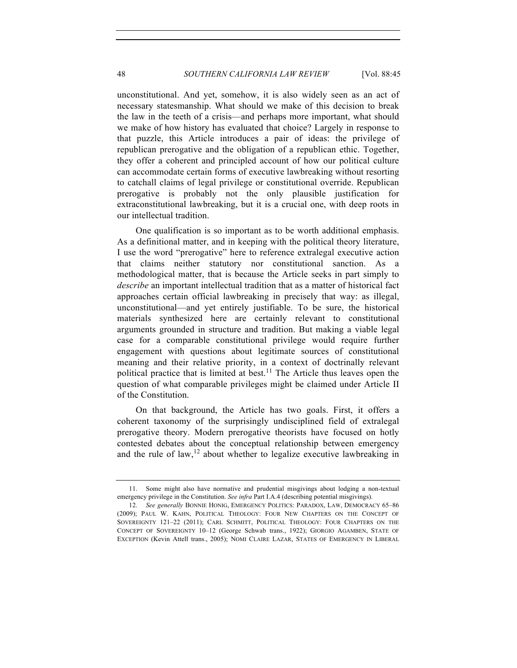unconstitutional. And yet, somehow, it is also widely seen as an act of necessary statesmanship. What should we make of this decision to break the law in the teeth of a crisis—and perhaps more important, what should we make of how history has evaluated that choice? Largely in response to that puzzle, this Article introduces a pair of ideas: the privilege of republican prerogative and the obligation of a republican ethic. Together, they offer a coherent and principled account of how our political culture can accommodate certain forms of executive lawbreaking without resorting to catchall claims of legal privilege or constitutional override. Republican prerogative is probably not the only plausible justification for extraconstitutional lawbreaking, but it is a crucial one, with deep roots in our intellectual tradition.

One qualification is so important as to be worth additional emphasis. As a definitional matter, and in keeping with the political theory literature, I use the word "prerogative" here to reference extralegal executive action that claims neither statutory nor constitutional sanction. As a methodological matter, that is because the Article seeks in part simply to *describe* an important intellectual tradition that as a matter of historical fact approaches certain official lawbreaking in precisely that way: as illegal, unconstitutional—and yet entirely justifiable. To be sure, the historical materials synthesized here are certainly relevant to constitutional arguments grounded in structure and tradition. But making a viable legal case for a comparable constitutional privilege would require further engagement with questions about legitimate sources of constitutional meaning and their relative priority, in a context of doctrinally relevant political practice that is limited at best.<sup>11</sup> The Article thus leaves open the question of what comparable privileges might be claimed under Article II of the Constitution.

On that background, the Article has two goals. First, it offers a coherent taxonomy of the surprisingly undisciplined field of extralegal prerogative theory. Modern prerogative theorists have focused on hotly contested debates about the conceptual relationship between emergency and the rule of law, $12$  about whether to legalize executive lawbreaking in

<sup>11.</sup> Some might also have normative and prudential misgivings about lodging a non-textual emergency privilege in the Constitution. *See infra* Part I.A.4 (describing potential misgivings).

<sup>12.</sup> *See generally* BONNIE HONIG, EMERGENCY POLITICS: PARADOX, LAW, DEMOCRACY 65–86 (2009); PAUL W. KAHN, POLITICAL THEOLOGY: FOUR NEW CHAPTERS ON THE CONCEPT OF SOVEREIGNTY 121–22 (2011); CARL SCHMITT, POLITICAL THEOLOGY: FOUR CHAPTERS ON THE CONCEPT OF SOVEREIGNTY 10–12 (George Schwab trans., 1922); GIORGIO AGAMBEN, STATE OF EXCEPTION (Kevin Attell trans., 2005); NOMI CLAIRE LAZAR, STATES OF EMERGENCY IN LIBERAL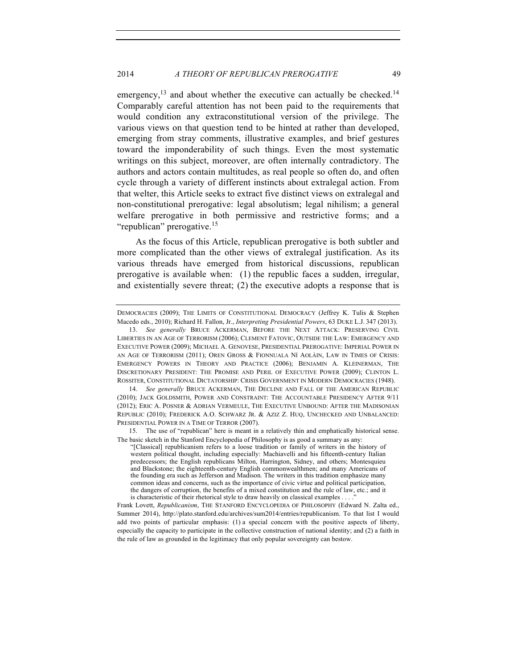emergency,<sup>13</sup> and about whether the executive can actually be checked.<sup>14</sup> Comparably careful attention has not been paid to the requirements that would condition any extraconstitutional version of the privilege. The various views on that question tend to be hinted at rather than developed, emerging from stray comments, illustrative examples, and brief gestures toward the imponderability of such things. Even the most systematic writings on this subject, moreover, are often internally contradictory. The authors and actors contain multitudes, as real people so often do, and often cycle through a variety of different instincts about extralegal action. From that welter, this Article seeks to extract five distinct views on extralegal and non-constitutional prerogative: legal absolutism; legal nihilism; a general welfare prerogative in both permissive and restrictive forms; and a "republican" prerogative.<sup>15</sup>

As the focus of this Article, republican prerogative is both subtler and more complicated than the other views of extralegal justification. As its various threads have emerged from historical discussions, republican prerogative is available when: (1) the republic faces a sudden, irregular, and existentially severe threat; (2) the executive adopts a response that is

14. *See generally* BRUCE ACKERMAN, THE DECLINE AND FALL OF THE AMERICAN REPUBLIC (2010); JACK GOLDSMITH, POWER AND CONSTRAINT: THE ACCOUNTABLE PRESIDENCY AFTER 9/11 (2012); ERIC A. POSNER & ADRIAN VERMEULE, THE EXECUTIVE UNBOUND: AFTER THE MADISONIAN REPUBLIC (2010); FREDERICK A.O. SCHWARZ JR. & AZIZ Z. HUQ, UNCHECKED AND UNBALANCED: PRESIDENTIAL POWER IN A TIME OF TERROR (2007).

15. The use of "republican" here is meant in a relatively thin and emphatically historical sense. The basic sketch in the Stanford Encyclopedia of Philosophy is as good a summary as any:

DEMOCRACIES (2009); THE LIMITS OF CONSTITUTIONAL DEMOCRACY (Jeffrey K. Tulis & Stephen Macedo eds., 2010); Richard H. Fallon, Jr., *Interpreting Presidential Powers*, 63 DUKE L.J. 347 (2013).

<sup>13.</sup> *See generally* BRUCE ACKERMAN, BEFORE THE NEXT ATTACK: PRESERVING CIVIL LIBERTIES IN AN AGE OF TERRORISM (2006); CLEMENT FATOVIC, OUTSIDE THE LAW: EMERGENCY AND EXECUTIVE POWER (2009); MICHAEL A. GENOVESE, PRESIDENTIAL PREROGATIVE: IMPERIAL POWER IN AN AGE OF TERRORISM (2011); OREN GROSS & FIONNUALA NÍ AOLÁIN, LAW IN TIMES OF CRISIS: EMERGENCY POWERS IN THEORY AND PRACTICE (2006); BENJAMIN A. KLEINERMAN, THE DISCRETIONARY PRESIDENT: THE PROMISE AND PERIL OF EXECUTIVE POWER (2009); CLINTON L. ROSSITER, CONSTITUTIONAL DICTATORSHIP: CRISIS GOVERNMENT IN MODERN DEMOCRACIES (1948).

<sup>&</sup>quot;[Classical] republicanism refers to a loose tradition or family of writers in the history of western political thought, including especially: Machiavelli and his fifteenth-century Italian predecessors; the English republicans Milton, Harrington, Sidney, and others; Montesquieu and Blackstone; the eighteenth-century English commonwealthmen; and many Americans of the founding era such as Jefferson and Madison. The writers in this tradition emphasize many common ideas and concerns, such as the importance of civic virtue and political participation, the dangers of corruption, the benefits of a mixed constitution and the rule of law, etc.; and it is characteristic of their rhetorical style to draw heavily on classical examples  $\dots$ 

Frank Lovett, *Republicanism*, THE STANFORD ENCYCLOPEDIA OF PHILOSOPHY (Edward N. Zalta ed., Summer 2014), http://plato.stanford.edu/archives/sum2014/entries/republicanism. To that list I would add two points of particular emphasis: (1) a special concern with the positive aspects of liberty, especially the capacity to participate in the collective construction of national identity; and (2) a faith in the rule of law as grounded in the legitimacy that only popular sovereignty can bestow.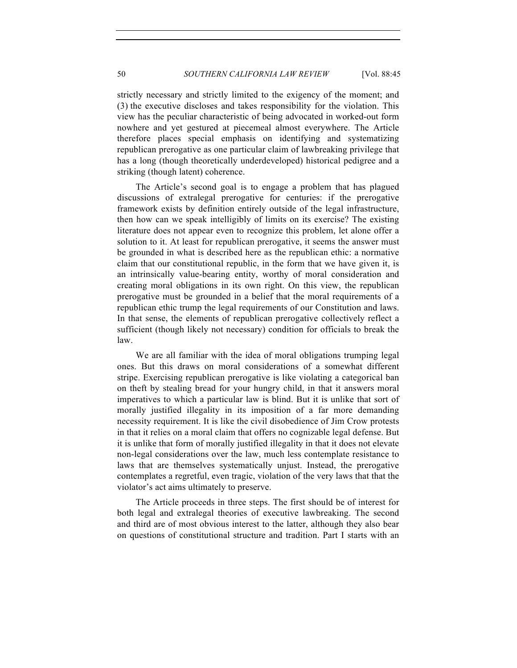strictly necessary and strictly limited to the exigency of the moment; and (3) the executive discloses and takes responsibility for the violation. This view has the peculiar characteristic of being advocated in worked-out form nowhere and yet gestured at piecemeal almost everywhere. The Article therefore places special emphasis on identifying and systematizing republican prerogative as one particular claim of lawbreaking privilege that has a long (though theoretically underdeveloped) historical pedigree and a striking (though latent) coherence.

The Article's second goal is to engage a problem that has plagued discussions of extralegal prerogative for centuries: if the prerogative framework exists by definition entirely outside of the legal infrastructure, then how can we speak intelligibly of limits on its exercise? The existing literature does not appear even to recognize this problem, let alone offer a solution to it. At least for republican prerogative, it seems the answer must be grounded in what is described here as the republican ethic: a normative claim that our constitutional republic, in the form that we have given it, is an intrinsically value-bearing entity, worthy of moral consideration and creating moral obligations in its own right. On this view, the republican prerogative must be grounded in a belief that the moral requirements of a republican ethic trump the legal requirements of our Constitution and laws. In that sense, the elements of republican prerogative collectively reflect a sufficient (though likely not necessary) condition for officials to break the law.

We are all familiar with the idea of moral obligations trumping legal ones. But this draws on moral considerations of a somewhat different stripe. Exercising republican prerogative is like violating a categorical ban on theft by stealing bread for your hungry child, in that it answers moral imperatives to which a particular law is blind. But it is unlike that sort of morally justified illegality in its imposition of a far more demanding necessity requirement. It is like the civil disobedience of Jim Crow protests in that it relies on a moral claim that offers no cognizable legal defense. But it is unlike that form of morally justified illegality in that it does not elevate non-legal considerations over the law, much less contemplate resistance to laws that are themselves systematically unjust. Instead, the prerogative contemplates a regretful, even tragic, violation of the very laws that that the violator's act aims ultimately to preserve.

The Article proceeds in three steps. The first should be of interest for both legal and extralegal theories of executive lawbreaking. The second and third are of most obvious interest to the latter, although they also bear on questions of constitutional structure and tradition. Part I starts with an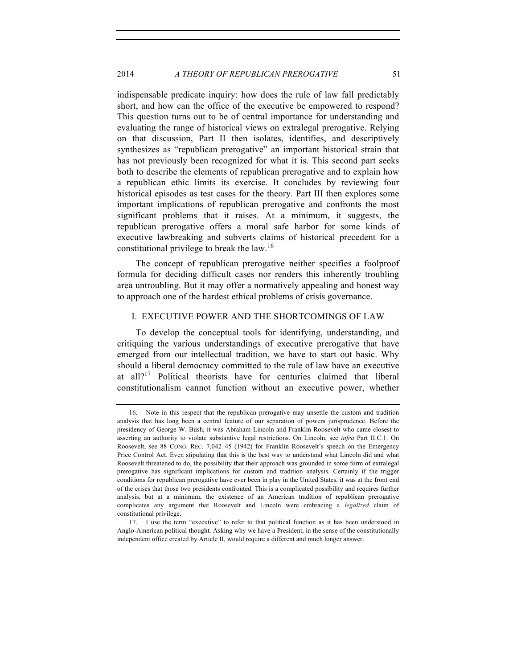## 2014 *A THEORY OF REPUBLICAN PREROGATIVE* 51

indispensable predicate inquiry: how does the rule of law fall predictably short, and how can the office of the executive be empowered to respond? This question turns out to be of central importance for understanding and evaluating the range of historical views on extralegal prerogative. Relying on that discussion, Part II then isolates, identifies, and descriptively synthesizes as "republican prerogative" an important historical strain that has not previously been recognized for what it is. This second part seeks both to describe the elements of republican prerogative and to explain how a republican ethic limits its exercise. It concludes by reviewing four historical episodes as test cases for the theory. Part III then explores some important implications of republican prerogative and confronts the most significant problems that it raises. At a minimum, it suggests, the republican prerogative offers a moral safe harbor for some kinds of executive lawbreaking and subverts claims of historical precedent for a constitutional privilege to break the law.<sup>16</sup>

The concept of republican prerogative neither specifies a foolproof formula for deciding difficult cases nor renders this inherently troubling area untroubling. But it may offer a normatively appealing and honest way to approach one of the hardest ethical problems of crisis governance.

# I. EXECUTIVE POWER AND THE SHORTCOMINGS OF LAW

To develop the conceptual tools for identifying, understanding, and critiquing the various understandings of executive prerogative that have emerged from our intellectual tradition, we have to start out basic. Why should a liberal democracy committed to the rule of law have an executive at all?<sup>17</sup> Political theorists have for centuries claimed that liberal constitutionalism cannot function without an executive power, whether

<sup>16.</sup> Note in this respect that the republican prerogative may unsettle the custom and tradition analysis that has long been a central feature of our separation of powers jurisprudence. Before the presidency of George W. Bush, it was Abraham Lincoln and Franklin Roosevelt who came closest to asserting an authority to violate substantive legal restrictions. On Lincoln, see *infra* Part II.C.1. On Roosevelt, see 88 CONG. REC. 7,042–45 (1942) for Franklin Roosevelt's speech on the Emergency Price Control Act. Even stipulating that this is the best way to understand what Lincoln did and what Roosevelt threatened to do, the possibility that their approach was grounded in some form of extralegal prerogative has significant implications for custom and tradition analysis. Certainly if the trigger conditions for republican prerogative have ever been in play in the United States, it was at the front end of the crises that those two presidents confronted. This is a complicated possibility and requires further analysis, but at a minimum, the existence of an American tradition of republican prerogative complicates any argument that Roosevelt and Lincoln were embracing a *legalized* claim of constitutional privilege.

<sup>17.</sup> I use the term "executive" to refer to that political function as it has been understood in Anglo-American political thought. Asking why we have a President, in the sense of the constitutionally independent office created by Article II, would require a different and much longer answer.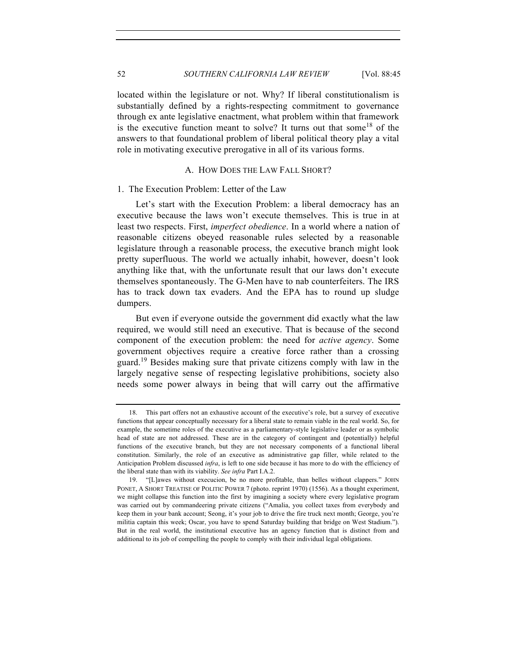located within the legislature or not. Why? If liberal constitutionalism is substantially defined by a rights-respecting commitment to governance through ex ante legislative enactment, what problem within that framework is the executive function meant to solve? It turns out that some<sup>18</sup> of the answers to that foundational problem of liberal political theory play a vital role in motivating executive prerogative in all of its various forms.

## A. HOW DOES THE LAW FALL SHORT?

## 1. The Execution Problem: Letter of the Law

Let's start with the Execution Problem: a liberal democracy has an executive because the laws won't execute themselves. This is true in at least two respects. First, *imperfect obedience*. In a world where a nation of reasonable citizens obeyed reasonable rules selected by a reasonable legislature through a reasonable process, the executive branch might look pretty superfluous. The world we actually inhabit, however, doesn't look anything like that, with the unfortunate result that our laws don't execute themselves spontaneously. The G-Men have to nab counterfeiters. The IRS has to track down tax evaders. And the EPA has to round up sludge dumpers.

But even if everyone outside the government did exactly what the law required, we would still need an executive. That is because of the second component of the execution problem: the need for *active agency*. Some government objectives require a creative force rather than a crossing guard.<sup>19</sup> Besides making sure that private citizens comply with law in the largely negative sense of respecting legislative prohibitions, society also needs some power always in being that will carry out the affirmative

<sup>18.</sup> This part offers not an exhaustive account of the executive's role, but a survey of executive functions that appear conceptually necessary for a liberal state to remain viable in the real world. So, for example, the sometime roles of the executive as a parliamentary-style legislative leader or as symbolic head of state are not addressed. These are in the category of contingent and (potentially) helpful functions of the executive branch, but they are not necessary components of a functional liberal constitution. Similarly, the role of an executive as administrative gap filler, while related to the Anticipation Problem discussed *infra*, is left to one side because it has more to do with the efficiency of the liberal state than with its viability. *See infra* Part I.A.2.

<sup>19.</sup> "[L]awes without execucion, be no more profitable, than belles without clappers." JOHN PONET, A SHORT TREATISE OF POLITIC POWER 7 (photo. reprint 1970) (1556). As a thought experiment, we might collapse this function into the first by imagining a society where every legislative program was carried out by commandeering private citizens ("Amalia, you collect taxes from everybody and keep them in your bank account; Seong, it's your job to drive the fire truck next month; George, you're militia captain this week; Oscar, you have to spend Saturday building that bridge on West Stadium."). But in the real world, the institutional executive has an agency function that is distinct from and additional to its job of compelling the people to comply with their individual legal obligations.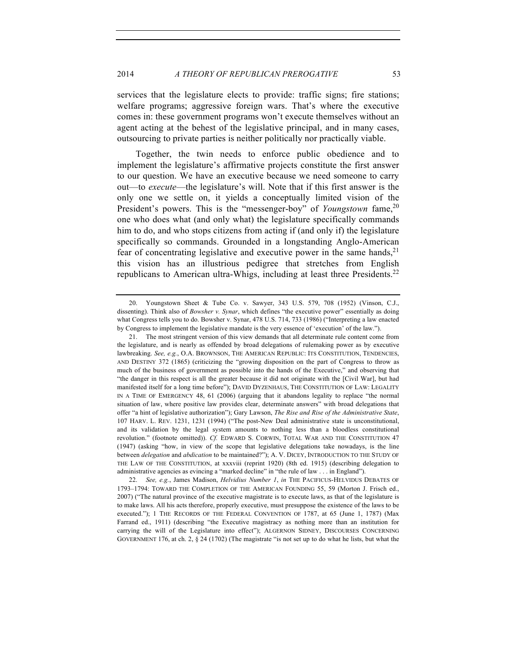services that the legislature elects to provide: traffic signs; fire stations; welfare programs; aggressive foreign wars. That's where the executive comes in: these government programs won't execute themselves without an agent acting at the behest of the legislative principal, and in many cases, outsourcing to private parties is neither politically nor practically viable.

Together, the twin needs to enforce public obedience and to implement the legislature's affirmative projects constitute the first answer to our question. We have an executive because we need someone to carry out—to *execute*—the legislature's will. Note that if this first answer is the only one we settle on, it yields a conceptually limited vision of the President's powers. This is the "messenger-boy" of *Youngstown* fame,<sup>20</sup> one who does what (and only what) the legislature specifically commands him to do, and who stops citizens from acting if (and only if) the legislature specifically so commands. Grounded in a longstanding Anglo-American fear of concentrating legislative and executive power in the same hands,  $2<sup>1</sup>$ this vision has an illustrious pedigree that stretches from English republicans to American ultra-Whigs, including at least three Presidents.<sup>22</sup>

21. The most stringent version of this view demands that all determinate rule content come from the legislature, and is nearly as offended by broad delegations of rulemaking power as by executive lawbreaking. *See, e.g.*, O.A. BROWNSON, THE AMERICAN REPUBLIC: ITS CONSTITUTION, TENDENCIES, AND DESTINY 372 (1865) (criticizing the "growing disposition on the part of Congress to throw as much of the business of government as possible into the hands of the Executive," and observing that "the danger in this respect is all the greater because it did not originate with the [Civil War], but had manifested itself for a long time before"); DAVID DYZENHAUS, THE CONSTITUTION OF LAW: LEGALITY IN A TIME OF EMERGENCY 48, 61 (2006) (arguing that it abandons legality to replace "the normal situation of law, where positive law provides clear, determinate answers" with broad delegations that offer "a hint of legislative authorization"); Gary Lawson, *The Rise and Rise of the Administrative State*, 107 HARV. L. REV. 1231, 1231 (1994) ("The post-New Deal administrative state is unconstitutional, and its validation by the legal system amounts to nothing less than a bloodless constitutional revolution." (footnote omitted)). *Cf.* EDWARD S. CORWIN, TOTAL WAR AND THE CONSTITUTION 47 (1947) (asking "how, in view of the scope that legislative delegations take nowadays, is the line between *delegation* and *abdication* to be maintained?"); A. V. DICEY, INTRODUCTION TO THE STUDY OF THE LAW OF THE CONSTITUTION, at xxxviii (reprint 1920) (8th ed. 1915) (describing delegation to administrative agencies as evincing a "marked decline" in "the rule of law . . . in England").

22. *See, e.g.*, James Madison, *Helvidius Number 1*, *in* THE PACIFICUS-HELVIDUS DEBATES OF 1793–1794: TOWARD THE COMPLETION OF THE AMERICAN FOUNDING 55, 59 (Morton J. Frisch ed., 2007) ("The natural province of the executive magistrate is to execute laws, as that of the legislature is to make laws. All his acts therefore, properly executive, must presuppose the existence of the laws to be executed."); 1 THE RECORDS OF THE FEDERAL CONVENTION OF 1787, at 65 (June 1, 1787) (Max Farrand ed., 1911) (describing "the Executive magistracy as nothing more than an institution for carrying the will of the Legislature into effect"); ALGERNON SIDNEY, DISCOURSES CONCERNING GOVERNMENT 176, at ch. 2, § 24 (1702) (The magistrate "is not set up to do what he lists, but what the

<sup>20.</sup> Youngstown Sheet & Tube Co. v. Sawyer, 343 U.S. 579, 708 (1952) (Vinson, C.J., dissenting). Think also of *Bowsher v. Synar*, which defines "the executive power" essentially as doing what Congress tells you to do. Bowsher v. Synar, 478 U.S. 714, 733 (1986) ("Interpreting a law enacted by Congress to implement the legislative mandate is the very essence of 'execution' of the law.").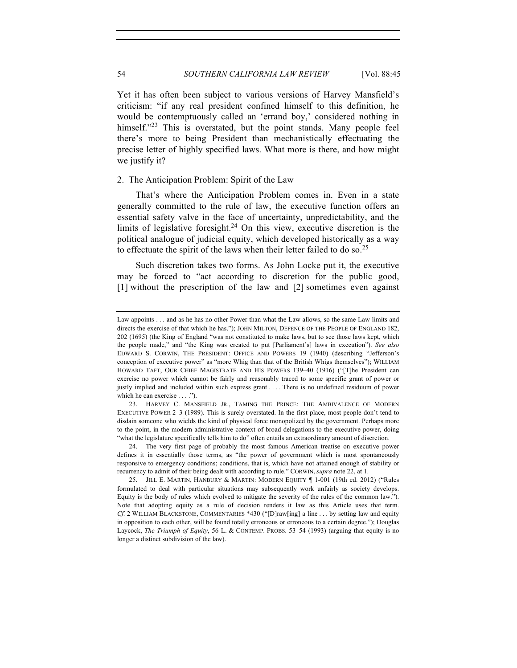Yet it has often been subject to various versions of Harvey Mansfield's criticism: "if any real president confined himself to this definition, he would be contemptuously called an 'errand boy,' considered nothing in himself."<sup>23</sup> This is overstated, but the point stands. Many people feel there's more to being President than mechanistically effectuating the precise letter of highly specified laws. What more is there, and how might we justify it?

## 2. The Anticipation Problem: Spirit of the Law

That's where the Anticipation Problem comes in. Even in a state generally committed to the rule of law, the executive function offers an essential safety valve in the face of uncertainty, unpredictability, and the limits of legislative foresight.<sup>24</sup> On this view, executive discretion is the political analogue of judicial equity, which developed historically as a way to effectuate the spirit of the laws when their letter failed to do so.<sup>25</sup>

Such discretion takes two forms. As John Locke put it, the executive may be forced to "act according to discretion for the public good, [1] without the prescription of the law and [2] sometimes even against

Law appoints . . . and as he has no other Power than what the Law allows, so the same Law limits and directs the exercise of that which he has."); JOHN MILTON, DEFENCE OF THE PEOPLE OF ENGLAND 182, 202 (1695) (the King of England "was not constituted to make laws, but to see those laws kept, which the people made," and "the King was created to put [Parliament's] laws in execution"). *See also* EDWARD S. CORWIN, THE PRESIDENT: OFFICE AND POWERS 19 (1940) (describing "Jefferson's conception of executive power" as "more Whig than that of the British Whigs themselves"); WILLIAM HOWARD TAFT, OUR CHIEF MAGISTRATE AND HIS POWERS 139–40 (1916) ("[T]he President can exercise no power which cannot be fairly and reasonably traced to some specific grant of power or justly implied and included within such express grant . . . . There is no undefined residuum of power which he can exercise . . . .").

<sup>23.</sup> HARVEY C. MANSFIELD JR., TAMING THE PRINCE: THE AMBIVALENCE OF MODERN EXECUTIVE POWER 2–3 (1989). This is surely overstated. In the first place, most people don't tend to disdain someone who wields the kind of physical force monopolized by the government. Perhaps more to the point, in the modern administrative context of broad delegations to the executive power, doing "what the legislature specifically tells him to do" often entails an extraordinary amount of discretion.

<sup>24.</sup> The very first page of probably the most famous American treatise on executive power defines it in essentially those terms, as "the power of government which is most spontaneously responsive to emergency conditions; conditions, that is, which have not attained enough of stability or recurrency to admit of their being dealt with according to rule." CORWIN, *supra* note 22, at 1.

<sup>25.</sup> JILL E. MARTIN, HANBURY & MARTIN: MODERN EQUITY ¶ 1-001 (19th ed. 2012) ("Rules formulated to deal with particular situations may subsequently work unfairly as society develops. Equity is the body of rules which evolved to mitigate the severity of the rules of the common law."). Note that adopting equity as a rule of decision renders it law as this Article uses that term. *Cf.* 2 WILLIAM BLACKSTONE, COMMENTARIES \*430 ("[D]raw[ing] a line . . . by setting law and equity in opposition to each other, will be found totally erroneous or erroneous to a certain degree."); Douglas Laycock, *The Triumph of Equity*, 56 L. & CONTEMP. PROBS. 53–54 (1993) (arguing that equity is no longer a distinct subdivision of the law).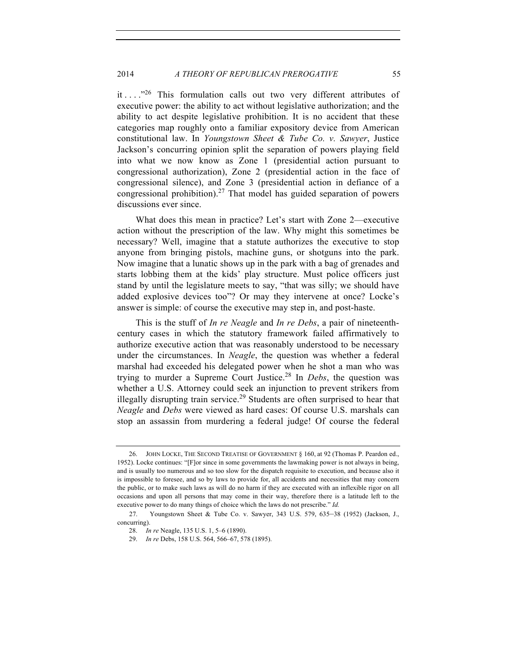it . . . ."26 This formulation calls out two very different attributes of executive power: the ability to act without legislative authorization; and the ability to act despite legislative prohibition. It is no accident that these categories map roughly onto a familiar expository device from American constitutional law. In *Youngstown Sheet & Tube Co. v. Sawyer*, Justice Jackson's concurring opinion split the separation of powers playing field into what we now know as Zone 1 (presidential action pursuant to congressional authorization), Zone 2 (presidential action in the face of congressional silence), and Zone 3 (presidential action in defiance of a congressional prohibition).<sup>27</sup> That model has guided separation of powers discussions ever since.

What does this mean in practice? Let's start with Zone 2—executive action without the prescription of the law. Why might this sometimes be necessary? Well, imagine that a statute authorizes the executive to stop anyone from bringing pistols, machine guns, or shotguns into the park. Now imagine that a lunatic shows up in the park with a bag of grenades and starts lobbing them at the kids' play structure. Must police officers just stand by until the legislature meets to say, "that was silly; we should have added explosive devices too"? Or may they intervene at once? Locke's answer is simple: of course the executive may step in, and post-haste.

This is the stuff of *In re Neagle* and *In re Debs*, a pair of nineteenthcentury cases in which the statutory framework failed affirmatively to authorize executive action that was reasonably understood to be necessary under the circumstances. In *Neagle*, the question was whether a federal marshal had exceeded his delegated power when he shot a man who was trying to murder a Supreme Court Justice.<sup>28</sup> In *Debs*, the question was whether a U.S. Attorney could seek an injunction to prevent strikers from illegally disrupting train service.<sup>29</sup> Students are often surprised to hear that *Neagle* and *Debs* were viewed as hard cases: Of course U.S. marshals can stop an assassin from murdering a federal judge! Of course the federal

<sup>26.</sup> JOHN LOCKE, THE SECOND TREATISE OF GOVERNMENT § 160, at 92 (Thomas P. Peardon ed., 1952). Locke continues: "[F]or since in some governments the lawmaking power is not always in being, and is usually too numerous and so too slow for the dispatch requisite to execution, and because also it is impossible to foresee, and so by laws to provide for, all accidents and necessities that may concern the public, or to make such laws as will do no harm if they are executed with an inflexible rigor on all occasions and upon all persons that may come in their way, therefore there is a latitude left to the executive power to do many things of choice which the laws do not prescribe." *Id.*

 <sup>27.</sup> Youngstown Sheet & Tube Co. v. Sawyer, 343 U.S. 579, 635–38 (1952) (Jackson, J., concurring).

 <sup>28.</sup> *In re* Neagle, 135 U.S. 1, 5–6 (1890).

 <sup>29.</sup> *In re* Debs, 158 U.S. 564, 566–67, 578 (1895).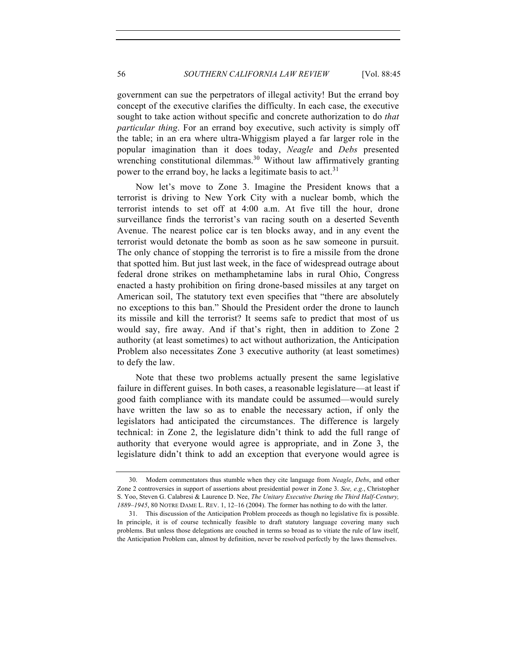government can sue the perpetrators of illegal activity! But the errand boy concept of the executive clarifies the difficulty. In each case, the executive sought to take action without specific and concrete authorization to do *that particular thing*. For an errand boy executive, such activity is simply off the table; in an era where ultra-Whiggism played a far larger role in the popular imagination than it does today, *Neagle* and *Debs* presented wrenching constitutional dilemmas.<sup>30</sup> Without law affirmatively granting power to the errand boy, he lacks a legitimate basis to act.<sup>31</sup>

Now let's move to Zone 3. Imagine the President knows that a terrorist is driving to New York City with a nuclear bomb, which the terrorist intends to set off at 4:00 a.m. At five till the hour, drone surveillance finds the terrorist's van racing south on a deserted Seventh Avenue. The nearest police car is ten blocks away, and in any event the terrorist would detonate the bomb as soon as he saw someone in pursuit. The only chance of stopping the terrorist is to fire a missile from the drone that spotted him. But just last week, in the face of widespread outrage about federal drone strikes on methamphetamine labs in rural Ohio, Congress enacted a hasty prohibition on firing drone-based missiles at any target on American soil, The statutory text even specifies that "there are absolutely no exceptions to this ban." Should the President order the drone to launch its missile and kill the terrorist? It seems safe to predict that most of us would say, fire away. And if that's right, then in addition to Zone 2 authority (at least sometimes) to act without authorization, the Anticipation Problem also necessitates Zone 3 executive authority (at least sometimes) to defy the law.

Note that these two problems actually present the same legislative failure in different guises. In both cases, a reasonable legislature—at least if good faith compliance with its mandate could be assumed—would surely have written the law so as to enable the necessary action, if only the legislators had anticipated the circumstances. The difference is largely technical: in Zone 2, the legislature didn't think to add the full range of authority that everyone would agree is appropriate, and in Zone 3, the legislature didn't think to add an exception that everyone would agree is

<sup>30.</sup> Modern commentators thus stumble when they cite language from *Neagle*, *Debs*, and other Zone 2 controversies in support of assertions about presidential power in Zone 3. *See, e.g.*, Christopher S. Yoo, Steven G. Calabresi & Laurence D. Nee, *The Unitary Executive During the Third Half-Century, 1889*–*1945*, 80 NOTRE DAME L. REV. 1, 12–16 (2004). The former has nothing to do with the latter.

<sup>31.</sup> This discussion of the Anticipation Problem proceeds as though no legislative fix is possible. In principle, it is of course technically feasible to draft statutory language covering many such problems. But unless those delegations are couched in terms so broad as to vitiate the rule of law itself, the Anticipation Problem can, almost by definition, never be resolved perfectly by the laws themselves.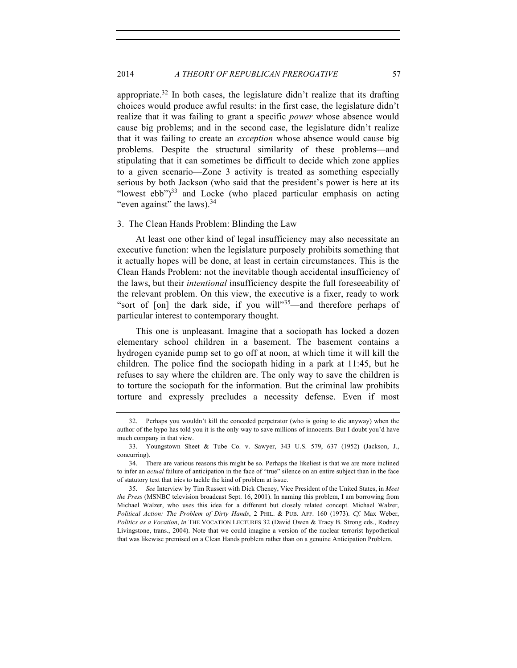appropriate.<sup>32</sup> In both cases, the legislature didn't realize that its drafting choices would produce awful results: in the first case, the legislature didn't realize that it was failing to grant a specific *power* whose absence would cause big problems; and in the second case, the legislature didn't realize that it was failing to create an *exception* whose absence would cause big problems. Despite the structural similarity of these problems—and stipulating that it can sometimes be difficult to decide which zone applies to a given scenario—Zone 3 activity is treated as something especially serious by both Jackson (who said that the president's power is here at its "lowest ebb") $33$  and Locke (who placed particular emphasis on acting "even against" the laws). $34$ 

## 3. The Clean Hands Problem: Blinding the Law

At least one other kind of legal insufficiency may also necessitate an executive function: when the legislature purposely prohibits something that it actually hopes will be done, at least in certain circumstances. This is the Clean Hands Problem: not the inevitable though accidental insufficiency of the laws, but their *intentional* insufficiency despite the full foreseeability of the relevant problem. On this view, the executive is a fixer, ready to work "sort of [on] the dark side, if you will"<sup>35</sup>—and therefore perhaps of particular interest to contemporary thought.

This one is unpleasant. Imagine that a sociopath has locked a dozen elementary school children in a basement. The basement contains a hydrogen cyanide pump set to go off at noon, at which time it will kill the children. The police find the sociopath hiding in a park at 11:45, but he refuses to say where the children are. The only way to save the children is to torture the sociopath for the information. But the criminal law prohibits torture and expressly precludes a necessity defense. Even if most

<sup>32.</sup> Perhaps you wouldn't kill the conceded perpetrator (who is going to die anyway) when the author of the hypo has told you it is the only way to save millions of innocents. But I doubt you'd have much company in that view.

<sup>33.</sup> Youngstown Sheet & Tube Co. v. Sawyer, 343 U.S. 579, 637 (1952) (Jackson, J., concurring).

<sup>34.</sup> There are various reasons this might be so. Perhaps the likeliest is that we are more inclined to infer an *actual* failure of anticipation in the face of "true" silence on an entire subject than in the face of statutory text that tries to tackle the kind of problem at issue.

<sup>35.</sup> *See* Interview by Tim Russert with Dick Cheney, Vice President of the United States, in *Meet the Press* (MSNBC television broadcast Sept. 16, 2001). In naming this problem, I am borrowing from Michael Walzer, who uses this idea for a different but closely related concept. Michael Walzer, *Political Action: The Problem of Dirty Hands*, 2 PHIL. & PUB. AFF. 160 (1973). *Cf.* Max Weber, *Politics as a Vocation*, *in* THE VOCATION LECTURES 32 (David Owen & Tracy B. Strong eds., Rodney Livingstone, trans., 2004). Note that we could imagine a version of the nuclear terrorist hypothetical that was likewise premised on a Clean Hands problem rather than on a genuine Anticipation Problem.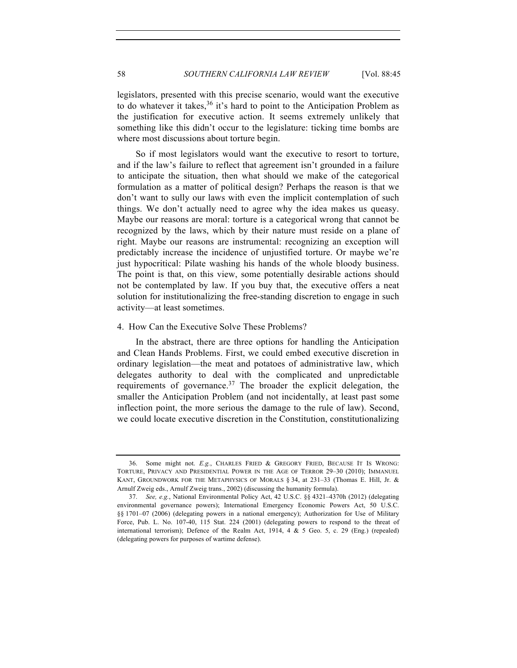legislators, presented with this precise scenario, would want the executive to do whatever it takes,  $36$  it's hard to point to the Anticipation Problem as the justification for executive action. It seems extremely unlikely that something like this didn't occur to the legislature: ticking time bombs are where most discussions about torture begin.

So if most legislators would want the executive to resort to torture, and if the law's failure to reflect that agreement isn't grounded in a failure to anticipate the situation, then what should we make of the categorical formulation as a matter of political design? Perhaps the reason is that we don't want to sully our laws with even the implicit contemplation of such things. We don't actually need to agree why the idea makes us queasy. Maybe our reasons are moral: torture is a categorical wrong that cannot be recognized by the laws, which by their nature must reside on a plane of right. Maybe our reasons are instrumental: recognizing an exception will predictably increase the incidence of unjustified torture. Or maybe we're just hypocritical: Pilate washing his hands of the whole bloody business. The point is that, on this view, some potentially desirable actions should not be contemplated by law. If you buy that, the executive offers a neat solution for institutionalizing the free-standing discretion to engage in such activity—at least sometimes.

## 4. How Can the Executive Solve These Problems?

In the abstract, there are three options for handling the Anticipation and Clean Hands Problems. First, we could embed executive discretion in ordinary legislation—the meat and potatoes of administrative law, which delegates authority to deal with the complicated and unpredictable requirements of governance.<sup>37</sup> The broader the explicit delegation, the smaller the Anticipation Problem (and not incidentally, at least past some inflection point, the more serious the damage to the rule of law). Second, we could locate executive discretion in the Constitution, constitutionalizing

<sup>36.</sup> Some might not. *E.g.*, CHARLES FRIED & GREGORY FRIED, BECAUSE IT IS WRONG: TORTURE, PRIVACY AND PRESIDENTIAL POWER IN THE AGE OF TERROR 29–30 (2010); IMMANUEL KANT, GROUNDWORK FOR THE METAPHYSICS OF MORALS  $\S 34$ , at 231–33 (Thomas E. Hill, Jr. & Arnulf Zweig eds., Arnulf Zweig trans., 2002) (discussing the humanity formula).

<sup>37.</sup> *See, e.g.*, National Environmental Policy Act, 42 U.S.C. §§ 4321–4370h (2012) (delegating environmental governance powers); International Emergency Economic Powers Act, 50 U.S.C. §§ 1701–07 (2006) (delegating powers in a national emergency); Authorization for Use of Military Force, Pub. L. No. 107-40, 115 Stat. 224 (2001) (delegating powers to respond to the threat of international terrorism); Defence of the Realm Act, 1914, 4 & 5 Geo. 5, c. 29 (Eng.) (repealed) (delegating powers for purposes of wartime defense).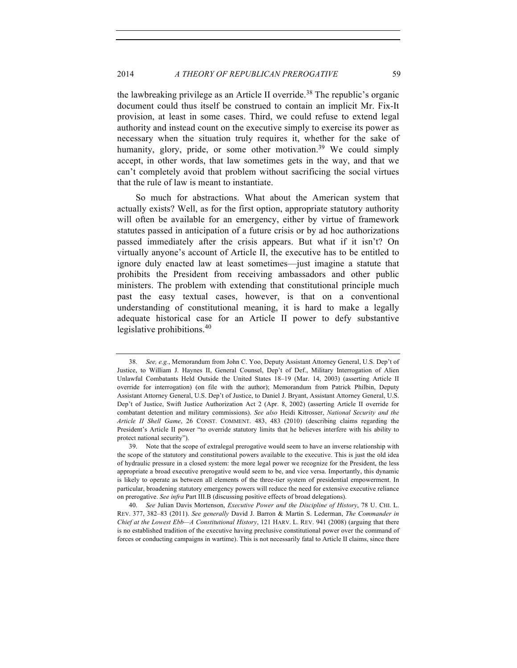the lawbreaking privilege as an Article II override.<sup>38</sup> The republic's organic document could thus itself be construed to contain an implicit Mr. Fix-It provision, at least in some cases. Third, we could refuse to extend legal authority and instead count on the executive simply to exercise its power as necessary when the situation truly requires it, whether for the sake of humanity, glory, pride, or some other motivation.<sup>39</sup> We could simply accept, in other words, that law sometimes gets in the way, and that we can't completely avoid that problem without sacrificing the social virtues that the rule of law is meant to instantiate.

So much for abstractions. What about the American system that actually exists? Well, as for the first option, appropriate statutory authority will often be available for an emergency, either by virtue of framework statutes passed in anticipation of a future crisis or by ad hoc authorizations passed immediately after the crisis appears. But what if it isn't? On virtually anyone's account of Article II, the executive has to be entitled to ignore duly enacted law at least sometimes—just imagine a statute that prohibits the President from receiving ambassadors and other public ministers. The problem with extending that constitutional principle much past the easy textual cases, however, is that on a conventional understanding of constitutional meaning, it is hard to make a legally adequate historical case for an Article II power to defy substantive legislative prohibitions.<sup>40</sup>

<sup>38.</sup> *See, e.g.*, Memorandum from John C. Yoo, Deputy Assistant Attorney General, U.S. Dep't of Justice, to William J. Haynes II, General Counsel, Dep't of Def., Military Interrogation of Alien Unlawful Combatants Held Outside the United States 18–19 (Mar. 14, 2003) (asserting Article II override for interrogation) (on file with the author); Memorandum from Patrick Philbin, Deputy Assistant Attorney General, U.S. Dep't of Justice, to Daniel J. Bryant, Assistant Attorney General, U.S. Dep't of Justice, Swift Justice Authorization Act 2 (Apr. 8, 2002) (asserting Article II override for combatant detention and military commissions). *See also* Heidi Kitrosser, *National Security and the Article II Shell Game*, 26 CONST. COMMENT. 483, 483 (2010) (describing claims regarding the President's Article II power "to override statutory limits that he believes interfere with his ability to protect national security").

<sup>39.</sup> Note that the scope of extralegal prerogative would seem to have an inverse relationship with the scope of the statutory and constitutional powers available to the executive. This is just the old idea of hydraulic pressure in a closed system: the more legal power we recognize for the President, the less appropriate a broad executive prerogative would seem to be, and vice versa. Importantly, this dynamic is likely to operate as between all elements of the three-tier system of presidential empowerment. In particular, broadening statutory emergency powers will reduce the need for extensive executive reliance on prerogative. *See infra* Part III.B (discussing positive effects of broad delegations).

<sup>40.</sup> *See* Julian Davis Mortenson, *Executive Power and the Discipline of History*, 78 U. CHI. L. REV. 377, 382–83 (2011). *See generally* David J. Barron & Martin S. Lederman, *The Commander in Chief at the Lowest Ebb—A Constitutional History*, 121 HARV. L. REV. 941 (2008) (arguing that there is no established tradition of the executive having preclusive constitutional power over the command of forces or conducting campaigns in wartime). This is not necessarily fatal to Article II claims, since there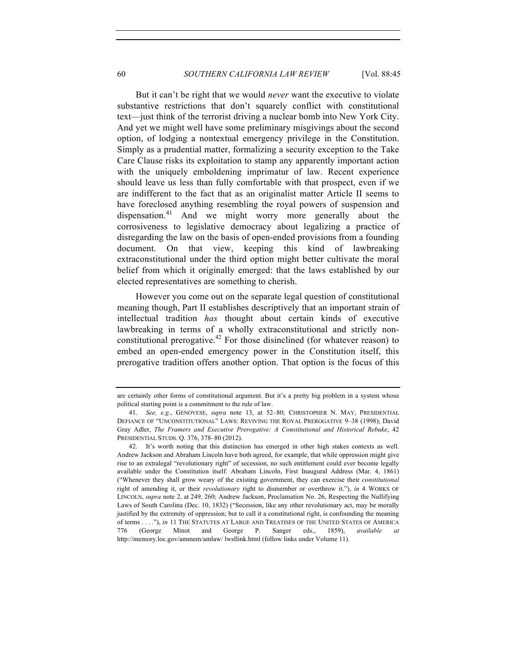But it can't be right that we would *never* want the executive to violate substantive restrictions that don't squarely conflict with constitutional text—just think of the terrorist driving a nuclear bomb into New York City. And yet we might well have some preliminary misgivings about the second option, of lodging a nontextual emergency privilege in the Constitution. Simply as a prudential matter, formalizing a security exception to the Take Care Clause risks its exploitation to stamp any apparently important action with the uniquely emboldening imprimatur of law. Recent experience should leave us less than fully comfortable with that prospect, even if we are indifferent to the fact that as an originalist matter Article II seems to have foreclosed anything resembling the royal powers of suspension and dispensation.<sup>41</sup> And we might worry more generally about the corrosiveness to legislative democracy about legalizing a practice of disregarding the law on the basis of open-ended provisions from a founding document. On that view, keeping this kind of lawbreaking extraconstitutional under the third option might better cultivate the moral belief from which it originally emerged: that the laws established by our elected representatives are something to cherish.

However you come out on the separate legal question of constitutional meaning though, Part II establishes descriptively that an important strain of intellectual tradition *has* thought about certain kinds of executive lawbreaking in terms of a wholly extraconstitutional and strictly nonconstitutional prerogative.<sup>42</sup> For those disinclined (for whatever reason) to embed an open-ended emergency power in the Constitution itself, this prerogative tradition offers another option. That option is the focus of this

are certainly other forms of constitutional argument. But it's a pretty big problem in a system whose political starting point is a commitment to the rule of law.

<sup>41.</sup> *See, e.g.*, GENOVESE, *supra* note 13, at 52–80; CHRISTOPHER N. MAY, PRESIDENTIAL DEFIANCE OF "UNCONSTITUTIONAL" LAWS: REVIVING THE ROYAL PREROGATIVE 9–38 (1998); David Gray Adler, *The Framers and Executive Prerogative: A Constitutional and Historical Rebuke*, 42 PRESIDENTIAL STUDS. Q. 376, 378–80 (2012).

<sup>42.</sup> It's worth noting that this distinction has emerged in other high stakes contexts as well. Andrew Jackson and Abraham Lincoln have both agreed, for example, that while oppression might give rise to an extralegal "revolutionary right" of secession, no such entitlement could ever become legally available under the Constitution itself. Abraham Lincoln, First Inaugural Address (Mar. 4, 1861) ("Whenever they shall grow weary of the existing government, they can exercise their *constitutional* right of amending it, or their *revolutionary* right to dismember or overthrow it."), *in* 4 WORKS OF LINCOLN, *supra* note 2, at 249, 260; Andrew Jackson, Proclamation No. 26, Respecting the Nullifying Laws of South Carolina (Dec. 10, 1832) ("Secession, like any other revolutionary act, may be morally justified by the extremity of oppression; but to call it a constitutional right, is confounding the meaning of terms . . . ."), *in* 11 THE STATUTES AT LARGE AND TREATISES OF THE UNITED STATES OF AMERICA 776 (George Minot and George P. Sanger eds., 1859), *available at*  http://memory.loc.gov/ammem/amlaw/ lwsllink.html (follow links under Volume 11).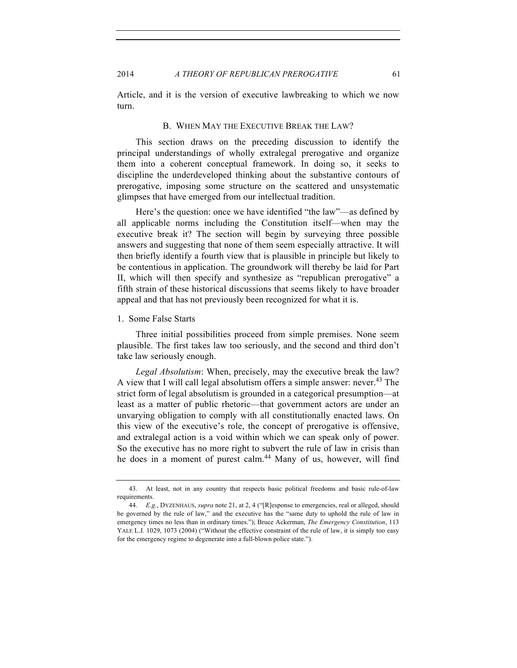Article, and it is the version of executive lawbreaking to which we now turn.

#### B. WHEN MAY THE EXECUTIVE BREAK THE LAW?

This section draws on the preceding discussion to identify the principal understandings of wholly extralegal prerogative and organize them into a coherent conceptual framework. In doing so, it seeks to discipline the underdeveloped thinking about the substantive contours of prerogative, imposing some structure on the scattered and unsystematic glimpses that have emerged from our intellectual tradition.

Here's the question: once we have identified "the law"—as defined by all applicable norms including the Constitution itself—when may the executive break it? The section will begin by surveying three possible answers and suggesting that none of them seem especially attractive. It will then briefly identify a fourth view that is plausible in principle but likely to be contentious in application. The groundwork will thereby be laid for Part II, which will then specify and synthesize as "republican prerogative" a fifth strain of these historical discussions that seems likely to have broader appeal and that has not previously been recognized for what it is.

## 1. Some False Starts

Three initial possibilities proceed from simple premises. None seem plausible. The first takes law too seriously, and the second and third don't take law seriously enough.

*Legal Absolutism*: When, precisely, may the executive break the law? A view that I will call legal absolutism offers a simple answer: never.<sup>43</sup> The strict form of legal absolutism is grounded in a categorical presumption—at least as a matter of public rhetoric—that government actors are under an unvarying obligation to comply with all constitutionally enacted laws. On this view of the executive's role, the concept of prerogative is offensive, and extralegal action is a void within which we can speak only of power. So the executive has no more right to subvert the rule of law in crisis than he does in a moment of purest calm.<sup>44</sup> Many of us, however, will find

<sup>43.</sup> At least, not in any country that respects basic political freedoms and basic rule-of-law requirements.

<sup>44.</sup> *E.g.*, DYZENHAUS, *supra* note 21, at 2, 4 ("[R]esponse to emergencies, real or alleged, should be governed by the rule of law," and the executive has the "same duty to uphold the rule of law in emergency times no less than in ordinary times."); Bruce Ackerman, *The Emergency Constitution*, 113 YALE L.J. 1029, 1073 (2004) ("Without the effective constraint of the rule of law, it is simply too easy for the emergency regime to degenerate into a full-blown police state.").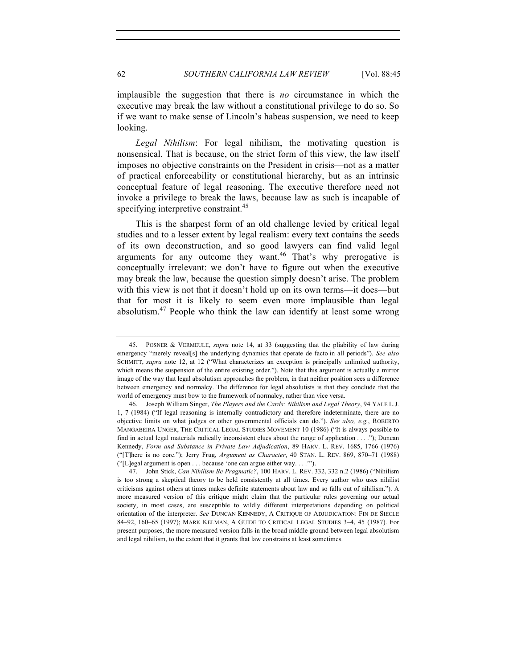implausible the suggestion that there is *no* circumstance in which the executive may break the law without a constitutional privilege to do so. So if we want to make sense of Lincoln's habeas suspension, we need to keep looking.

*Legal Nihilism*: For legal nihilism, the motivating question is nonsensical. That is because, on the strict form of this view, the law itself imposes no objective constraints on the President in crisis—not as a matter of practical enforceability or constitutional hierarchy, but as an intrinsic conceptual feature of legal reasoning. The executive therefore need not invoke a privilege to break the laws, because law as such is incapable of specifying interpretive constraint.<sup>45</sup>

This is the sharpest form of an old challenge levied by critical legal studies and to a lesser extent by legal realism: every text contains the seeds of its own deconstruction, and so good lawyers can find valid legal arguments for any outcome they want. $46$  That's why prerogative is conceptually irrelevant: we don't have to figure out when the executive may break the law, because the question simply doesn't arise. The problem with this view is not that it doesn't hold up on its own terms—it does—but that for most it is likely to seem even more implausible than legal absolutism.<sup>47</sup> People who think the law can identify at least some wrong

<sup>45.</sup> POSNER & VERMEULE, *supra* note 14, at 33 (suggesting that the pliability of law during emergency "merely reveal[s] the underlying dynamics that operate de facto in all periods"). *See also* SCHMITT, *supra* note 12, at 12 ("What characterizes an exception is principally unlimited authority, which means the suspension of the entire existing order."). Note that this argument is actually a mirror image of the way that legal absolutism approaches the problem, in that neither position sees a difference between emergency and normalcy. The difference for legal absolutists is that they conclude that the world of emergency must bow to the framework of normalcy, rather than vice versa.

<sup>46.</sup> Joseph William Singer, *The Players and the Cards: Nihilism and Legal Theory*, 94 YALE L.J. 1, 7 (1984) ("If legal reasoning is internally contradictory and therefore indeterminate, there are no objective limits on what judges or other governmental officials can do."). *See also, e.g.*, ROBERTO MANGABEIRA UNGER, THE CRITICAL LEGAL STUDIES MOVEMENT 10 (1986) ("It is always possible to find in actual legal materials radically inconsistent clues about the range of application . . . ."); Duncan Kennedy, *Form and Substance in Private Law Adjudication*, 89 HARV. L. REV. 1685, 1766 (1976) ("[T]here is no core."); Jerry Frug, *Argument as Character*, 40 STAN. L. REV. 869, 870–71 (1988) ("[L]egal argument is open . . . because 'one can argue either way. . . .'").

<sup>47.</sup> John Stick, *Can Nihilism Be Pragmatic?*, 100 HARV. L. REV. 332, 332 n.2 (1986) ("Nihilism is too strong a skeptical theory to be held consistently at all times. Every author who uses nihilist criticisms against others at times makes definite statements about law and so falls out of nihilism."). A more measured version of this critique might claim that the particular rules governing our actual society, in most cases, are susceptible to wildly different interpretations depending on political orientation of the interpreter. *See* DUNCAN KENNEDY, A CRITIQUE OF ADJUDICATION: FIN DE SIÈCLE 84–92, 160–65 (1997); MARK KELMAN, A GUIDE TO CRITICAL LEGAL STUDIES 3–4, 45 (1987). For present purposes, the more measured version falls in the broad middle ground between legal absolutism and legal nihilism, to the extent that it grants that law constrains at least sometimes.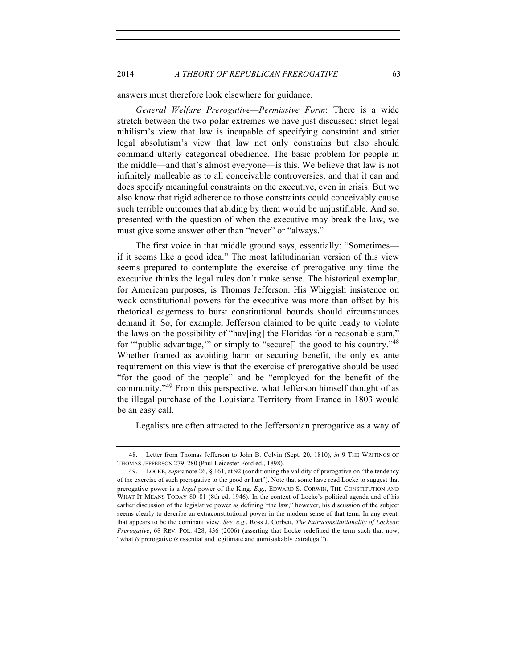#### answers must therefore look elsewhere for guidance.

*General Welfare Prerogative—Permissive Form*: There is a wide stretch between the two polar extremes we have just discussed: strict legal nihilism's view that law is incapable of specifying constraint and strict legal absolutism's view that law not only constrains but also should command utterly categorical obedience. The basic problem for people in the middle—and that's almost everyone—is this. We believe that law is not infinitely malleable as to all conceivable controversies, and that it can and does specify meaningful constraints on the executive, even in crisis. But we also know that rigid adherence to those constraints could conceivably cause such terrible outcomes that abiding by them would be unjustifiable. And so, presented with the question of when the executive may break the law, we must give some answer other than "never" or "always."

The first voice in that middle ground says, essentially: "Sometimes if it seems like a good idea." The most latitudinarian version of this view seems prepared to contemplate the exercise of prerogative any time the executive thinks the legal rules don't make sense. The historical exemplar, for American purposes, is Thomas Jefferson. His Whiggish insistence on weak constitutional powers for the executive was more than offset by his rhetorical eagerness to burst constitutional bounds should circumstances demand it. So, for example, Jefferson claimed to be quite ready to violate the laws on the possibility of "hav[ing] the Floridas for a reasonable sum," for "'public advantage,'" or simply to "secure[] the good to his country."48 Whether framed as avoiding harm or securing benefit, the only ex ante requirement on this view is that the exercise of prerogative should be used "for the good of the people" and be "employed for the benefit of the community."<sup>49</sup> From this perspective, what Jefferson himself thought of as the illegal purchase of the Louisiana Territory from France in 1803 would be an easy call.

Legalists are often attracted to the Jeffersonian prerogative as a way of

<sup>48.</sup> Letter from Thomas Jefferson to John B. Colvin (Sept. 20, 1810), *in* 9 THE WRITINGS OF THOMAS JEFFERSON 279, 280 (Paul Leicester Ford ed., 1898).

<sup>49.</sup> LOCKE, *supra* note 26, § 161, at 92 (conditioning the validity of prerogative on "the tendency of the exercise of such prerogative to the good or hurt"). Note that some have read Locke to suggest that prerogative power is a *legal* power of the King. *E.g.*, EDWARD S. CORWIN, THE CONSTITUTION AND WHAT IT MEANS TODAY 80–81 (8th ed. 1946). In the context of Locke's political agenda and of his earlier discussion of the legislative power as defining "the law," however, his discussion of the subject seems clearly to describe an extraconstitutional power in the modern sense of that term. In any event, that appears to be the dominant view. *See, e.g.*, Ross J. Corbett, *The Extraconstitutionality of Lockean Prerogative*, 68 REV. POL. 428, 436 (2006) (asserting that Locke redefined the term such that now, "what *is* prerogative *is* essential and legitimate and unmistakably extralegal").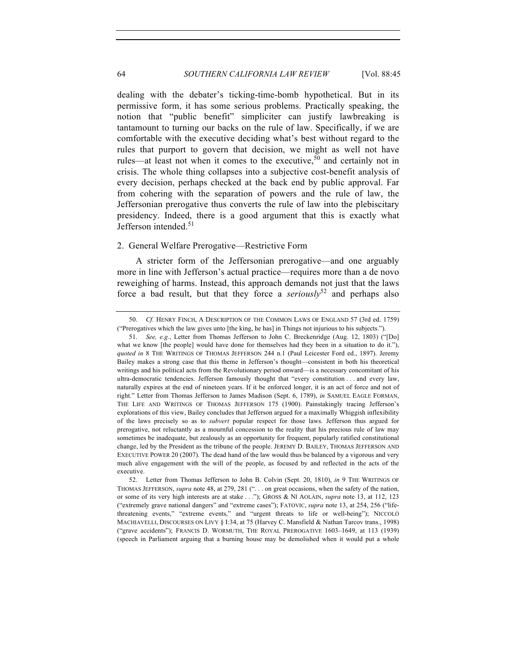dealing with the debater's ticking-time-bomb hypothetical. But in its permissive form, it has some serious problems. Practically speaking, the notion that "public benefit" simpliciter can justify lawbreaking is tantamount to turning our backs on the rule of law. Specifically, if we are comfortable with the executive deciding what's best without regard to the rules that purport to govern that decision, we might as well not have rules—at least not when it comes to the executive,<sup>50</sup> and certainly not in crisis. The whole thing collapses into a subjective cost-benefit analysis of every decision, perhaps checked at the back end by public approval. Far from cohering with the separation of powers and the rule of law, the Jeffersonian prerogative thus converts the rule of law into the plebiscitary presidency. Indeed, there is a good argument that this is exactly what Jefferson intended.<sup>51</sup>

## 2. General Welfare Prerogative—Restrictive Form

A stricter form of the Jeffersonian prerogative—and one arguably more in line with Jefferson's actual practice—requires more than a de novo reweighing of harms. Instead, this approach demands not just that the laws force a bad result, but that they force a *seriously*<sup>52</sup> and perhaps also

<sup>50.</sup> *Cf.* HENRY FINCH, A DESCRIPTION OF THE COMMON LAWS OF ENGLAND 57 (3rd ed. 1759) ("Prerogatives which the law gives unto [the king, he has] in Things not injurious to his subjects.").

<sup>51.</sup> *See, e.g.*, Letter from Thomas Jefferson to John C. Breckenridge (Aug. 12, 1803) ("[Do] what we know [the people] would have done for themselves had they been in a situation to do it."), *quoted in* 8 THE WRITINGS OF THOMAS JEFFERSON 244 n.1 (Paul Leicester Ford ed., 1897). Jeremy Bailey makes a strong case that this theme in Jefferson's thought—consistent in both his theoretical writings and his political acts from the Revolutionary period onward—is a necessary concomitant of his ultra-democratic tendencies. Jefferson famously thought that "every constitution . . . and every law, naturally expires at the end of nineteen years. If it be enforced longer, it is an act of force and not of right." Letter from Thomas Jefferson to James Madison (Sept. 6, 1789), *in* SAMUEL EAGLE FORMAN, THE LIFE AND WRITINGS OF THOMAS JEFFERSON 175 (1900). Painstakingly tracing Jefferson's explorations of this view, Bailey concludes that Jefferson argued for a maximally Whiggish inflexibility of the laws precisely so as to *subvert* popular respect for those laws. Jefferson thus argued for prerogative, not reluctantly as a mournful concession to the reality that his precious rule of law may sometimes be inadequate, but zealously as an opportunity for frequent, popularly ratified constitutional change, led by the President as the tribune of the people. JEREMY D. BAILEY, THOMAS JEFFERSON AND EXECUTIVE POWER 20 (2007). The dead hand of the law would thus be balanced by a vigorous and very much alive engagement with the will of the people, as focused by and reflected in the acts of the executive.

<sup>52.</sup> Letter from Thomas Jefferson to John B. Colvin (Sept. 20, 1810), *in* 9 THE WRITINGS OF THOMAS JEFFERSON, *supra* note 48, at 279, 281 ("... on great occasions, when the safety of the nation, or some of its very high interests are at stake . . ."); GROSS & NÍ AOLÁIN, *supra* note 13, at 112, 123 ("extremely grave national dangers" and "extreme cases"); FATOVIC, *supra* note 13, at 254, 256 ("lifethreatening events," "extreme events," and "urgent threats to life or well-being"); NICCOLÒ MACHIAVELLI, DISCOURSES ON LIVY § I:34, at 75 (Harvey C. Mansfield & Nathan Tarcov trans., 1998) ("grave accidents"); FRANCIS D. WORMUTH, THE ROYAL PREROGATIVE 1603–1649, at 113 (1939) (speech in Parliament arguing that a burning house may be demolished when it would put a whole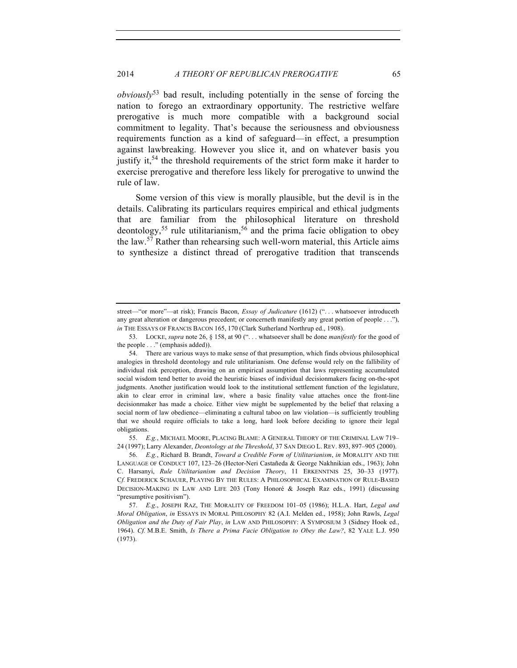*obviously*<sup>53</sup> bad result, including potentially in the sense of forcing the nation to forego an extraordinary opportunity. The restrictive welfare prerogative is much more compatible with a background social commitment to legality. That's because the seriousness and obviousness requirements function as a kind of safeguard—in effect, a presumption against lawbreaking. However you slice it, and on whatever basis you justify it,<sup>54</sup> the threshold requirements of the strict form make it harder to exercise prerogative and therefore less likely for prerogative to unwind the rule of law.

Some version of this view is morally plausible, but the devil is in the details. Calibrating its particulars requires empirical and ethical judgments that are familiar from the philosophical literature on threshold deontology,<sup>55</sup> rule utilitarianism,<sup>56</sup> and the prima facie obligation to obey the law.<sup>57</sup> Rather than rehearsing such well-worn material, this Article aims to synthesize a distinct thread of prerogative tradition that transcends

55. *E.g.*, MICHAEL MOORE, PLACING BLAME: A GENERAL THEORY OF THE CRIMINAL LAW 719– 24 (1997); Larry Alexander, *Deontology at the Threshold*, 37 SAN DIEGO L. REV. 893, 897–905 (2000).

street—"or more"—at risk); Francis Bacon, *Essay of Judicature* (1612) ("... whatsoever introduceth any great alteration or dangerous precedent; or concerneth manifestly any great portion of people . . ."), *in* THE ESSAYS OF FRANCIS BACON 165, 170 (Clark Sutherland Northrup ed., 1908).

<sup>53.</sup> LOCKE, *supra* note 26, § 158, at 90 (". . . whatsoever shall be done *manifestly* for the good of the people . . ." (emphasis added)).

<sup>54.</sup> There are various ways to make sense of that presumption, which finds obvious philosophical analogies in threshold deontology and rule utilitarianism. One defense would rely on the fallibility of individual risk perception, drawing on an empirical assumption that laws representing accumulated social wisdom tend better to avoid the heuristic biases of individual decisionmakers facing on-the-spot judgments. Another justification would look to the institutional settlement function of the legislature, akin to clear error in criminal law, where a basic finality value attaches once the front-line decisionmaker has made a choice. Either view might be supplemented by the belief that relaxing a social norm of law obedience—eliminating a cultural taboo on law violation—is sufficiently troubling that we should require officials to take a long, hard look before deciding to ignore their legal obligations.

<sup>56.</sup> *E.g.*, Richard B. Brandt, *Toward a Credible Form of Utilitarianism*, *in* MORALITY AND THE LANGUAGE OF CONDUCT 107, 123–26 (Hector-Neri Castañeda & George Nakhnikian eds., 1963); John C. Harsanyi, *Rule Utilitarianism and Decision Theory*, 11 ERKENNTNIS 25, 30–33 (1977). C*f.* FREDERICK SCHAUER, PLAYING BY THE RULES: A PHILOSOPHICAL EXAMINATION OF RULE-BASED DECISION-MAKING IN LAW AND LIFE 203 (Tony Honoré & Joseph Raz eds., 1991) (discussing "presumptive positivism").

<sup>57.</sup> *E.g*., JOSEPH RAZ, THE MORALITY OF FREEDOM 101–05 (1986); H.L.A. Hart, *Legal and Moral Obligation*, *in* ESSAYS IN MORAL PHILOSOPHY 82 (A.I. Melden ed., 1958); John Rawls, *Legal Obligation and the Duty of Fair Play*, *in* LAW AND PHILOSOPHY: A SYMPOSIUM 3 (Sidney Hook ed., 1964). *Cf.* M.B.E. Smith, *Is There a Prima Facie Obligation to Obey the Law?*, 82 YALE L.J. 950 (1973).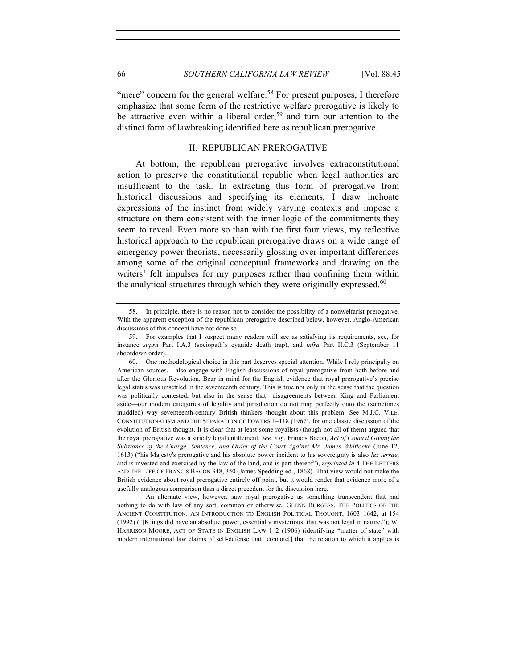"mere" concern for the general welfare.<sup>58</sup> For present purposes, I therefore emphasize that some form of the restrictive welfare prerogative is likely to be attractive even within a liberal order,<sup>59</sup> and turn our attention to the distinct form of lawbreaking identified here as republican prerogative.

# II. REPUBLICAN PREROGATIVE

At bottom, the republican prerogative involves extraconstitutional action to preserve the constitutional republic when legal authorities are insufficient to the task. In extracting this form of prerogative from historical discussions and specifying its elements, I draw inchoate expressions of the instinct from widely varying contexts and impose a structure on them consistent with the inner logic of the commitments they seem to reveal. Even more so than with the first four views, my reflective historical approach to the republican prerogative draws on a wide range of emergency power theorists, necessarily glossing over important differences among some of the original conceptual frameworks and drawing on the writers' felt impulses for my purposes rather than confining them within the analytical structures through which they were originally expressed.<sup>60</sup>

<sup>58.</sup> In principle, there is no reason not to consider the possibility of a nonwelfarist prerogative. With the apparent exception of the republican prerogative described below, however, Anglo-American discussions of this concept have not done so.

<sup>59.</sup> For examples that I suspect many readers will see as satisfying its requirements, see, for instance *supra* Part I.A.3 (sociopath's cyanide death trap), and *infra* Part II.C.3 (September 11 shootdown order).

<sup>60.</sup> One methodological choice in this part deserves special attention. While I rely principally on American sources, I also engage with English discussions of royal prerogative from both before and after the Glorious Revolution. Bear in mind for the English evidence that royal prerogative's precise legal status was unsettled in the seventeenth century. This is true not only in the sense that the question was politically contested, but also in the sense that—disagreements between King and Parliament aside—our modern categories of legality and jurisdiction do not map perfectly onto the (sometimes muddled) way seventeenth-century British thinkers thought about this problem. See M.J.C. VILE, CONSTITUTIONALISM AND THE SEPARATION OF POWERS 1–118 (1967), for one classic discussion of the evolution of British thought. It is clear that at least some royalists (though not all of them) argued that the royal prerogative was a strictly legal entitlement. *See, e.g.*, Francis Bacon, *Act of Council Giving the Substance of the Charge, Sentence, and Order of the Court Against Mr. James Whitlocke* (June 12, 1613) ("his Majesty's prerogative and his absolute power incident to his sovereignty is also *lex terrae*, and is invested and exercised by the law of the land, and is part thereof"), *reprinted in* 4 THE LETTERS AND THE LIFE OF FRANCIS BACON 348, 350 (James Spedding ed., 1868). That view would not make the British evidence about royal prerogative entirely off point, but it would render that evidence more of a usefully analogous comparison than a direct precedent for the discussion here.

An alternate view, however, saw royal prerogative as something transcendent that had nothing to do with law of any sort, common or otherwise. GLENN BURGESS, THE POLITICS OF THE ANCIENT CONSTITUTION: AN INTRODUCTION TO ENGLISH POLITICAL THOUGHT, 1603–1642, at 154 (1992) ("[K]ings did have an absolute power, essentially mysterious, that was not legal in nature."); W. HARRISON MOORE, ACT OF STATE IN ENGLISH LAW 1–2 (1906) (identifying "matter of state" with modern international law claims of self-defense that "connote[] that the relation to which it applies is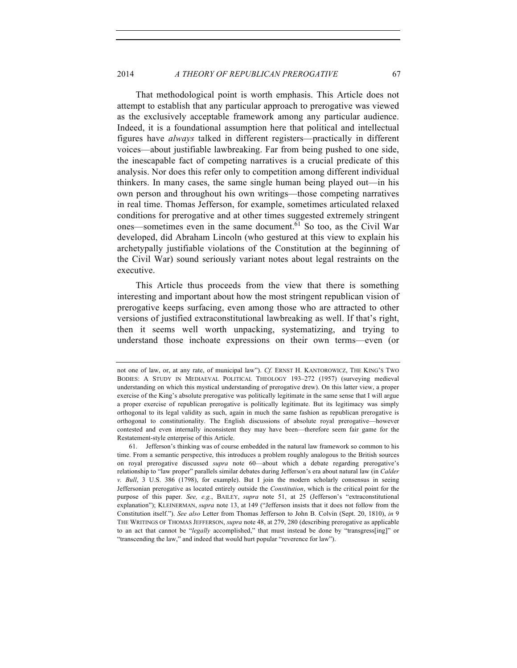That methodological point is worth emphasis. This Article does not attempt to establish that any particular approach to prerogative was viewed as the exclusively acceptable framework among any particular audience. Indeed, it is a foundational assumption here that political and intellectual figures have *always* talked in different registers—practically in different voices—about justifiable lawbreaking. Far from being pushed to one side, the inescapable fact of competing narratives is a crucial predicate of this analysis. Nor does this refer only to competition among different individual thinkers. In many cases, the same single human being played out—in his own person and throughout his own writings—those competing narratives in real time. Thomas Jefferson, for example, sometimes articulated relaxed conditions for prerogative and at other times suggested extremely stringent ones—sometimes even in the same document.<sup>61</sup> So too, as the Civil War developed, did Abraham Lincoln (who gestured at this view to explain his archetypally justifiable violations of the Constitution at the beginning of the Civil War) sound seriously variant notes about legal restraints on the executive.

This Article thus proceeds from the view that there is something interesting and important about how the most stringent republican vision of prerogative keeps surfacing, even among those who are attracted to other versions of justified extraconstitutional lawbreaking as well. If that's right, then it seems well worth unpacking, systematizing, and trying to understand those inchoate expressions on their own terms—even (or

61. Jefferson's thinking was of course embedded in the natural law framework so common to his time. From a semantic perspective, this introduces a problem roughly analogous to the British sources on royal prerogative discussed *supra* note 60—about which a debate regarding prerogative's relationship to "law proper" parallels similar debates during Jefferson's era about natural law (in *Calder v. Bull*, 3 U.S. 386 (1798), for example). But I join the modern scholarly consensus in seeing Jeffersonian prerogative as located entirely outside the *Constitution*, which is the critical point for the purpose of this paper. *See, e.g.*, BAILEY, *supra* note 51, at 25 (Jefferson's "extraconstitutional explanation"); KLEINERMAN, *supra* note 13, at 149 ("Jefferson insists that it does not follow from the Constitution itself."). *See also* Letter from Thomas Jefferson to John B. Colvin (Sept. 20, 1810), *in* 9 THE WRITINGS OF THOMAS JEFFERSON, *supra* note 48, at 279, 280 (describing prerogative as applicable to an act that cannot be "*legally* accomplished," that must instead be done by "transgress[ing]" or "transcending the law," and indeed that would hurt popular "reverence for law").

not one of law, or, at any rate, of municipal law"). *Cf.* ERNST H. KANTOROWICZ, THE KING'S TWO BODIES: A STUDY IN MEDIAEVAL POLITICAL THEOLOGY 193–272 (1957) (surveying medieval understanding on which this mystical understanding of prerogative drew). On this latter view, a proper exercise of the King's absolute prerogative was politically legitimate in the same sense that I will argue a proper exercise of republican prerogative is politically legitimate. But its legitimacy was simply orthogonal to its legal validity as such, again in much the same fashion as republican prerogative is orthogonal to constitutionality. The English discussions of absolute royal prerogative—however contested and even internally inconsistent they may have been—therefore seem fair game for the Restatement-style enterprise of this Article.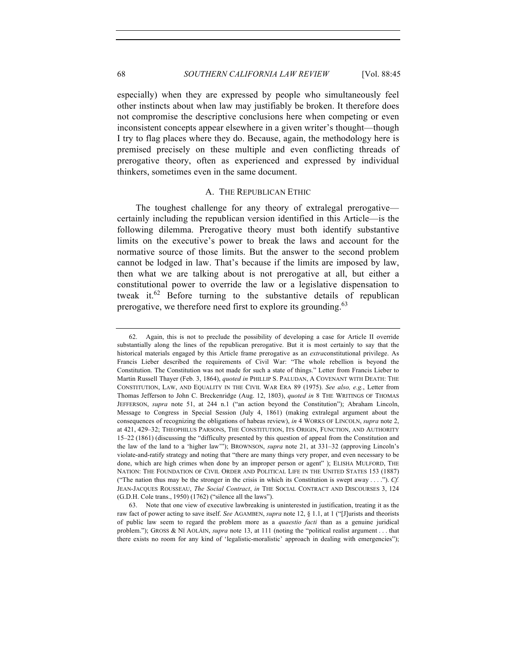especially) when they are expressed by people who simultaneously feel other instincts about when law may justifiably be broken. It therefore does not compromise the descriptive conclusions here when competing or even inconsistent concepts appear elsewhere in a given writer's thought—though I try to flag places where they do. Because, again, the methodology here is premised precisely on these multiple and even conflicting threads of prerogative theory, often as experienced and expressed by individual thinkers, sometimes even in the same document.

## A. THE REPUBLICAN ETHIC

The toughest challenge for any theory of extralegal prerogative certainly including the republican version identified in this Article—is the following dilemma. Prerogative theory must both identify substantive limits on the executive's power to break the laws and account for the normative source of those limits. But the answer to the second problem cannot be lodged in law. That's because if the limits are imposed by law, then what we are talking about is not prerogative at all, but either a constitutional power to override the law or a legislative dispensation to tweak it.<sup>62</sup> Before turning to the substantive details of republican prerogative, we therefore need first to explore its grounding.<sup>63</sup>

<sup>62.</sup> Again, this is not to preclude the possibility of developing a case for Article II override substantially along the lines of the republican prerogative. But it is most certainly to say that the historical materials engaged by this Article frame prerogative as an *extra*constitutional privilege. As Francis Lieber described the requirements of Civil War: "The whole rebellion is beyond the Constitution. The Constitution was not made for such a state of things." Letter from Francis Lieber to Martin Russell Thayer (Feb. 3, 1864), *quoted in* PHILLIP S. PALUDAN, A COVENANT WITH DEATH: THE CONSTITUTION, LAW, AND EQUALITY IN THE CIVIL WAR ERA 89 (1975). *See also, e.g.*, Letter from Thomas Jefferson to John C. Breckenridge (Aug. 12, 1803), *quoted in* 8 THE WRITINGS OF THOMAS JEFFERSON, *supra* note 51, at 244 n.1 ("an action beyond the Constitution"); Abraham Lincoln, Message to Congress in Special Session (July 4, 1861) (making extralegal argument about the consequences of recognizing the obligations of habeas review), *in* 4 WORKS OF LINCOLN, *supra* note 2, at 421, 429–32; THEOPHILUS PARSONS, THE CONSTITUTION, ITS ORIGIN, FUNCTION, AND AUTHORITY 15–22 (1861) (discussing the "difficulty presented by this question of appeal from the Constitution and the law of the land to a 'higher law'"); BROWNSON, *supra* note 21, at 331–32 (approving Lincoln's violate-and-ratify strategy and noting that "there are many things very proper, and even necessary to be done, which are high crimes when done by an improper person or agent"); ELISHA MULFORD, THE NATION: THE FOUNDATION OF CIVIL ORDER AND POLITICAL LIFE IN THE UNITED STATES 153 (1887) ("The nation thus may be the stronger in the crisis in which its Constitution is swept away . . . ."). *Cf.* JEAN-JACQUES ROUSSEAU, *The Social Contract*, *in* THE SOCIAL CONTRACT AND DISCOURSES 3, 124 (G.D.H. Cole trans., 1950) (1762) ("silence all the laws").

<sup>63.</sup> Note that one view of executive lawbreaking is uninterested in justification, treating it as the raw fact of power acting to save itself. *See* AGAMBEN, *supra* note 12, § 1.1, at 1 ("[J]urists and theorists of public law seem to regard the problem more as a *quaestio facti* than as a genuine juridical problem."); GROSS & NÍ AOLÁIN, *supra* note 13, at 111 (noting the "political realist argument . . . that there exists no room for any kind of 'legalistic-moralistic' approach in dealing with emergencies");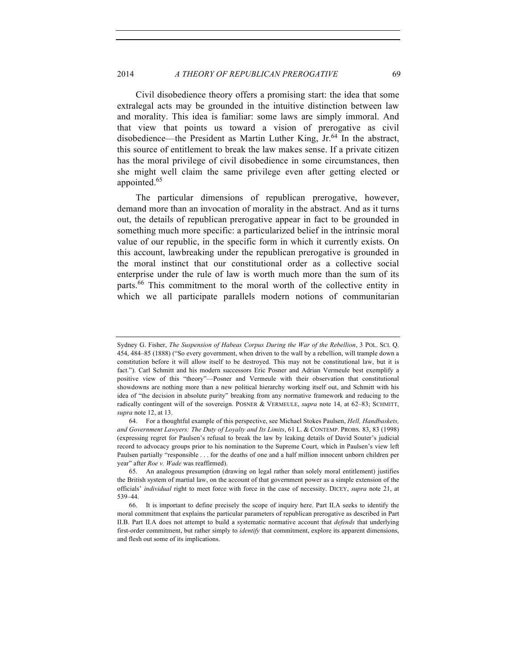Civil disobedience theory offers a promising start: the idea that some extralegal acts may be grounded in the intuitive distinction between law and morality. This idea is familiar: some laws are simply immoral. And that view that points us toward a vision of prerogative as civil disobedience—the President as Martin Luther King,  $Jr<sub>0</sub><sup>64</sup>$  In the abstract, this source of entitlement to break the law makes sense. If a private citizen has the moral privilege of civil disobedience in some circumstances, then she might well claim the same privilege even after getting elected or appointed.<sup>65</sup>

The particular dimensions of republican prerogative, however, demand more than an invocation of morality in the abstract. And as it turns out, the details of republican prerogative appear in fact to be grounded in something much more specific: a particularized belief in the intrinsic moral value of our republic, in the specific form in which it currently exists. On this account, lawbreaking under the republican prerogative is grounded in the moral instinct that our constitutional order as a collective social enterprise under the rule of law is worth much more than the sum of its parts.<sup>66</sup> This commitment to the moral worth of the collective entity in which we all participate parallels modern notions of communitarian

Sydney G. Fisher, *The Suspension of Habeas Corpus During the War of the Rebellion*, 3 POL. SCI. Q. 454, 484–85 (1888) ("So every government, when driven to the wall by a rebellion, will trample down a constitution before it will allow itself to be destroyed. This may not be constitutional law, but it is fact."). Carl Schmitt and his modern successors Eric Posner and Adrian Vermeule best exemplify a positive view of this "theory"—Posner and Vermeule with their observation that constitutional showdowns are nothing more than a new political hierarchy working itself out, and Schmitt with his idea of "the decision in absolute purity" breaking from any normative framework and reducing to the radically contingent will of the sovereign. POSNER & VERMEULE, *supra* note 14, at 62–83; SCHMITT, *supra* note 12, at 13.

<sup>64.</sup> For a thoughtful example of this perspective, see Michael Stokes Paulsen, *Hell, Handbaskets, and Government Lawyers: The Duty of Loyalty and Its Limits*, 61 L. & CONTEMP. PROBS. 83, 83 (1998) (expressing regret for Paulsen's refusal to break the law by leaking details of David Souter's judicial record to advocacy groups prior to his nomination to the Supreme Court, which in Paulsen's view left Paulsen partially "responsible . . . for the deaths of one and a half million innocent unborn children per year" after *Roe v. Wade* was reaffirmed).

<sup>65.</sup> An analogous presumption (drawing on legal rather than solely moral entitlement) justifies the British system of martial law, on the account of that government power as a simple extension of the officials' *individual* right to meet force with force in the case of necessity. DICEY, *supra* note 21, at 539–44.

<sup>66.</sup> It is important to define precisely the scope of inquiry here. Part II.A seeks to identify the moral commitment that explains the particular parameters of republican prerogative as described in Part II.B. Part II.A does not attempt to build a systematic normative account that *defends* that underlying first-order commitment, but rather simply to *identify* that commitment, explore its apparent dimensions, and flesh out some of its implications.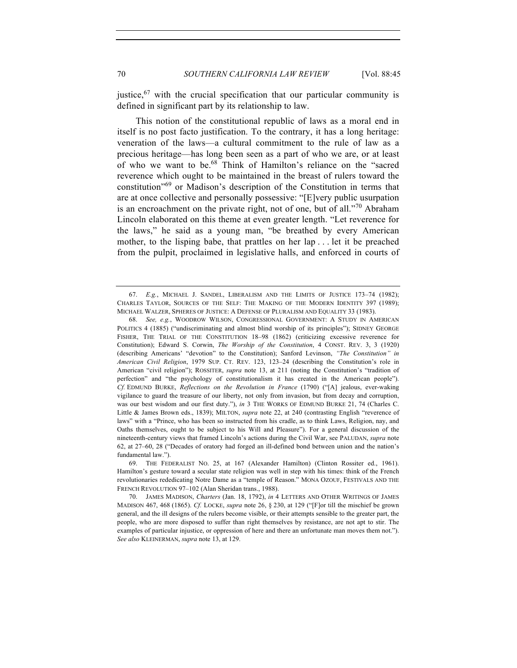justice, $67$  with the crucial specification that our particular community is defined in significant part by its relationship to law.

This notion of the constitutional republic of laws as a moral end in itself is no post facto justification. To the contrary, it has a long heritage: veneration of the laws—a cultural commitment to the rule of law as a precious heritage—has long been seen as a part of who we are, or at least of who we want to be.68 Think of Hamilton's reliance on the "sacred reverence which ought to be maintained in the breast of rulers toward the constitution"<sup>69</sup> or Madison's description of the Constitution in terms that are at once collective and personally possessive: "[E]very public usurpation is an encroachment on the private right, not of one, but of all. $170^\circ$  Abraham Lincoln elaborated on this theme at even greater length. "Let reverence for the laws," he said as a young man, "be breathed by every American mother, to the lisping babe, that prattles on her lap . . . let it be preached from the pulpit, proclaimed in legislative halls, and enforced in courts of

<sup>67.</sup> *E.g.*, MICHAEL J. SANDEL, LIBERALISM AND THE LIMITS OF JUSTICE 173–74 (1982); CHARLES TAYLOR, SOURCES OF THE SELF: THE MAKING OF THE MODERN IDENTITY 397 (1989); MICHAEL WALZER, SPHERES OF JUSTICE: A DEFENSE OF PLURALISM AND EQUALITY 33 (1983).

<sup>68.</sup> *See, e.g.*, WOODROW WILSON, CONGRESSIONAL GOVERNMENT: A STUDY IN AMERICAN POLITICS 4 (1885) ("undiscriminating and almost blind worship of its principles"); SIDNEY GEORGE FISHER, THE TRIAL OF THE CONSTITUTION 18–98 (1862) (criticizing excessive reverence for Constitution); Edward S. Corwin, *The Worship of the Constitution*, 4 CONST. REV. 3, 3 (1920) (describing Americans' "devotion" to the Constitution); Sanford Levinson, *"The Constitution" in American Civil Religion*, 1979 SUP. CT. REV. 123, 123–24 (describing the Constitution's role in American "civil religion"); ROSSITER, *supra* note 13, at 211 (noting the Constitution's "tradition of perfection" and "the psychology of constitutionalism it has created in the American people"). *Cf.* EDMUND BURKE, *Reflections on the Revolution in France* (1790) ("[A] jealous, ever-waking vigilance to guard the treasure of our liberty, not only from invasion, but from decay and corruption, was our best wisdom and our first duty."), *in* 3 THE WORKS OF EDMUND BURKE 21, 74 (Charles C. Little & James Brown eds., 1839); MILTON, *supra* note 22, at 240 (contrasting English "reverence of laws" with a "Prince, who has been so instructed from his cradle, as to think Laws, Religion, nay, and Oaths themselves, ought to be subject to his Will and Pleasure"). For a general discussion of the nineteenth-century views that framed Lincoln's actions during the Civil War, see PALUDAN, *supra* note 62, at 27–60, 28 ("Decades of oratory had forged an ill-defined bond between union and the nation's fundamental law.").

<sup>69.</sup> THE FEDERALIST NO. 25, at 167 (Alexander Hamilton) (Clinton Rossiter ed., 1961). Hamilton's gesture toward a secular state religion was well in step with his times: think of the French revolutionaries rededicating Notre Dame as a "temple of Reason." MONA OZOUF, FESTIVALS AND THE FRENCH REVOLUTION 97–102 (Alan Sheridan trans., 1988).

<sup>70.</sup> JAMES MADISON, *Charters* (Jan. 18, 1792), *in* 4 LETTERS AND OTHER WRITINGS OF JAMES MADISON 467, 468 (1865). *Cf.* LOCKE, *supra* note 26, § 230, at 129 ("[F]or till the mischief be grown general, and the ill designs of the rulers become visible, or their attempts sensible to the greater part, the people, who are more disposed to suffer than right themselves by resistance, are not apt to stir. The examples of particular injustice, or oppression of here and there an unfortunate man moves them not."). *See also* KLEINERMAN, *supra* note 13, at 129.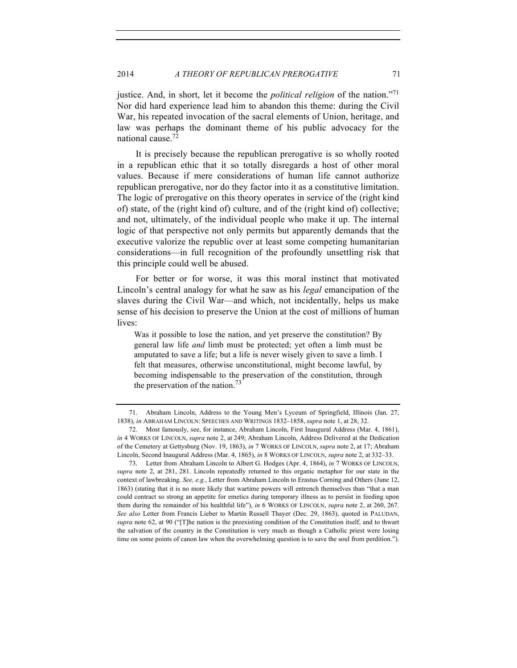justice. And, in short, let it become the *political religion* of the nation."71 Nor did hard experience lead him to abandon this theme: during the Civil War, his repeated invocation of the sacral elements of Union, heritage, and law was perhaps the dominant theme of his public advocacy for the national cause.<sup>72</sup>

It is precisely because the republican prerogative is so wholly rooted in a republican ethic that it so totally disregards a host of other moral values. Because if mere considerations of human life cannot authorize republican prerogative, nor do they factor into it as a constitutive limitation. The logic of prerogative on this theory operates in service of the (right kind of) state, of the (right kind of) culture, and of the (right kind of) collective; and not, ultimately, of the individual people who make it up. The internal logic of that perspective not only permits but apparently demands that the executive valorize the republic over at least some competing humanitarian considerations—in full recognition of the profoundly unsettling risk that this principle could well be abused.

For better or for worse, it was this moral instinct that motivated Lincoln's central analogy for what he saw as his *legal* emancipation of the slaves during the Civil War—and which, not incidentally, helps us make sense of his decision to preserve the Union at the cost of millions of human lives:

Was it possible to lose the nation, and yet preserve the constitution? By general law life *and* limb must be protected; yet often a limb must be amputated to save a life; but a life is never wisely given to save a limb. I felt that measures, otherwise unconstitutional, might become lawful, by becoming indispensable to the preservation of the constitution, through the preservation of the nation.<sup>73</sup>

73. Letter from Abraham Lincoln to Albert G. Hodges (Apr. 4, 1864), *in* 7 WORKS OF LINCOLN, *supra* note 2, at 281, 281. Lincoln repeatedly returned to this organic metaphor for our state in the context of lawbreaking. *See, e.g.*, Letter from Abraham Lincoln to Erastus Corning and Others (June 12, 1863) (stating that it is no more likely that wartime powers will entrench themselves than "that a man could contract so strong an appetite for emetics during temporary illness as to persist in feeding upon them during the remainder of his healthful life"), *in* 6 WORKS OF LINCOLN, *supra* note 2, at 260, 267. *See also* Letter from Francis Lieber to Martin Russell Thayer (Dec. 29, 1863), quoted in PALUDAN, *supra* note 62, at 90 ("[T]he nation is the preexisting condition of the Constitution itself, and to thwart the salvation of the country in the Constitution is very much as though a Catholic priest were losing time on some points of canon law when the overwhelming question is to save the soul from perdition.").

<sup>71.</sup> Abraham Lincoln, Address to the Young Men's Lyceum of Springfield, Illinois (Jan. 27, 1838), *in* ABRAHAM LINCOLN: SPEECHES AND WRITINGS 1832–1858, *supra* note 1, at 28, 32.

<sup>72.</sup> Most famously, see, for instance, Abraham Lincoln, First Inaugural Address (Mar. 4, 1861), *in* 4 WORKS OF LINCOLN, *supra* note 2, at 249; Abraham Lincoln, Address Delivered at the Dedication of the Cemetery at Gettysburg (Nov. 19, 1863), *in* 7 WORKS OF LINCOLN, *supra* note 2, at 17; Abraham Lincoln, Second Inaugural Address (Mar. 4, 1865), *in* 8 WORKS OF LINCOLN, *supra* note 2, at 332–33.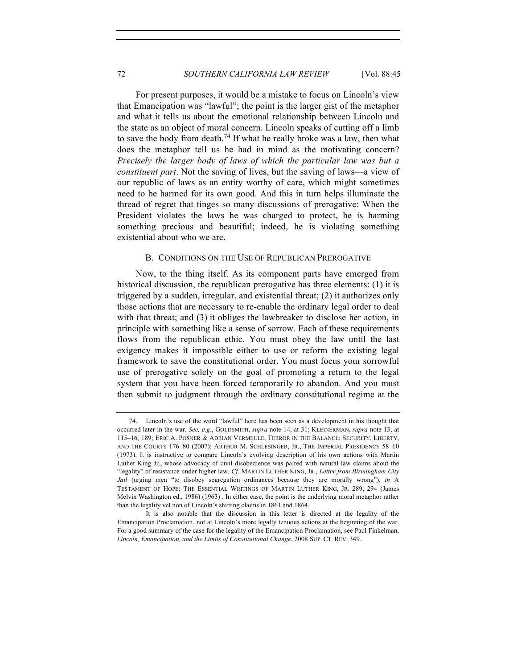For present purposes, it would be a mistake to focus on Lincoln's view that Emancipation was "lawful"; the point is the larger gist of the metaphor and what it tells us about the emotional relationship between Lincoln and the state as an object of moral concern. Lincoln speaks of cutting off a limb to save the body from death.<sup>74</sup> If what he really broke was a law, then what does the metaphor tell us he had in mind as the motivating concern? *Precisely the larger body of laws of which the particular law was but a constituent part*. Not the saving of lives, but the saving of laws—a view of our republic of laws as an entity worthy of care, which might sometimes need to be harmed for its own good. And this in turn helps illuminate the thread of regret that tinges so many discussions of prerogative: When the President violates the laws he was charged to protect, he is harming something precious and beautiful; indeed, he is violating something existential about who we are.

## B. CONDITIONS ON THE USE OF REPUBLICAN PREROGATIVE

Now, to the thing itself. As its component parts have emerged from historical discussion, the republican prerogative has three elements: (1) it is triggered by a sudden, irregular, and existential threat; (2) it authorizes only those actions that are necessary to re-enable the ordinary legal order to deal with that threat; and (3) it obliges the lawbreaker to disclose her action, in principle with something like a sense of sorrow. Each of these requirements flows from the republican ethic. You must obey the law until the last exigency makes it impossible either to use or reform the existing legal framework to save the constitutional order. You must focus your sorrowful use of prerogative solely on the goal of promoting a return to the legal system that you have been forced temporarily to abandon. And you must then submit to judgment through the ordinary constitutional regime at the

<sup>74.</sup> Lincoln's use of the word "lawful" here has been seen as a development in his thought that occurred later in the war. *See, e.g.*, GOLDSMITH, *supra* note 14, at 31; KLEINERMAN, *supra* note 13, at 115–16, 189; ERIC A. POSNER & ADRIAN VERMEULE, TERROR IN THE BALANCE: SECURITY, LIBERTY, AND THE COURTS 176–80 (2007); ARTHUR M. SCHLESINGER, JR., THE IMPERIAL PRESIDENCY 58–60 (1973). It is instructive to compare Lincoln's evolving description of his own actions with Martin Luther King Jr., whose advocacy of civil disobedience was paired with natural law claims about the "legality" of resistance under higher law. *Cf*. MARTIN LUTHER KING, JR., *Letter from Birmingham City Jail* (urging men "to disobey segregation ordinances because they are morally wrong"), *in* A TESTAMENT OF HOPE: THE ESSENTIAL WRITINGS OF MARTIN LUTHER KING, JR. 289, 294 (James Melvin Washington ed., 1986) (1963) . In either case, the point is the underlying moral metaphor rather than the legality vel non of Lincoln's shifting claims in 1861 and 1864.

It is also notable that the discussion in this letter is directed at the legality of the Emancipation Proclamation, not at Lincoln's more legally tenuous actions at the beginning of the war. For a good summary of the case for the legality of the Emancipation Proclamation, see Paul Finkelman, *Lincoln, Emancipation, and the Limits of Constitutional Change*, 2008 SUP. CT. REV. 349.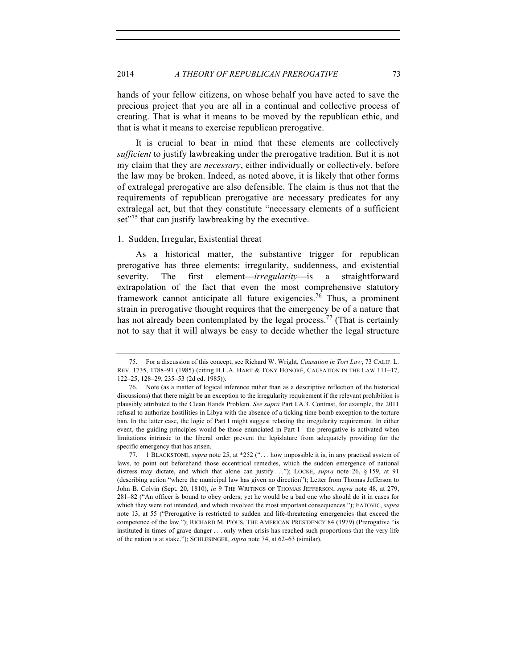hands of your fellow citizens, on whose behalf you have acted to save the precious project that you are all in a continual and collective process of creating. That is what it means to be moved by the republican ethic, and that is what it means to exercise republican prerogative.

It is crucial to bear in mind that these elements are collectively *sufficient* to justify lawbreaking under the prerogative tradition. But it is not my claim that they are *necessary*, either individually or collectively, before the law may be broken. Indeed, as noted above, it is likely that other forms of extralegal prerogative are also defensible. The claim is thus not that the requirements of republican prerogative are necessary predicates for any extralegal act, but that they constitute "necessary elements of a sufficient set<sup>775</sup> that can justify lawbreaking by the executive.

## 1. Sudden, Irregular, Existential threat

As a historical matter, the substantive trigger for republican prerogative has three elements: irregularity, suddenness, and existential severity. The first element—*irregularity*—is a straightforward extrapolation of the fact that even the most comprehensive statutory framework cannot anticipate all future exigencies.<sup>76</sup> Thus, a prominent strain in prerogative thought requires that the emergency be of a nature that has not already been contemplated by the legal process.<sup>77</sup> (That is certainly not to say that it will always be easy to decide whether the legal structure

<sup>75.</sup> For a discussion of this concept, see Richard W. Wright, *Causation in Tort Law*, 73 CALIF. L. REV. 1735, 1788–91 (1985) (citing H.L.A. HART & TONY HONORÉ, CAUSATION IN THE LAW 111–17, 122–25, 128–29, 235–53 (2d ed. 1985)).

<sup>76.</sup> Note (as a matter of logical inference rather than as a descriptive reflection of the historical discussions) that there might be an exception to the irregularity requirement if the relevant prohibition is plausibly attributed to the Clean Hands Problem. *See supra* Part I.A.3. Contrast, for example, the 2011 refusal to authorize hostilities in Libya with the absence of a ticking time bomb exception to the torture ban. In the latter case, the logic of Part I might suggest relaxing the irregularity requirement. In either event, the guiding principles would be those enunciated in Part I—the prerogative is activated when limitations intrinsic to the liberal order prevent the legislature from adequately providing for the specific emergency that has arisen.

<sup>77.</sup> 1 BLACKSTONE, *supra* note 25, at \*252 (". . . how impossible it is, in any practical system of laws, to point out beforehand those eccentrical remedies, which the sudden emergence of national distress may dictate, and which that alone can justify . . ."); LOCKE, *supra* note 26, § 159, at 91 (describing action "where the municipal law has given no direction"); Letter from Thomas Jefferson to John B. Colvin (Sept. 20, 1810), *in* 9 THE WRITINGS OF THOMAS JEFFERSON, *supra* note 48, at 279, 281–82 ("An officer is bound to obey orders; yet he would be a bad one who should do it in cases for which they were not intended, and which involved the most important consequences."); FATOVIC, *supra* note 13, at 55 ("Prerogative is restricted to sudden and life-threatening emergencies that exceed the competence of the law."); RICHARD M. PIOUS, THE AMERICAN PRESIDENCY 84 (1979) (Prerogative "is instituted in times of grave danger . . . only when crisis has reached such proportions that the very life of the nation is at stake."); SCHLESINGER, *supra* note 74, at 62–63 (similar).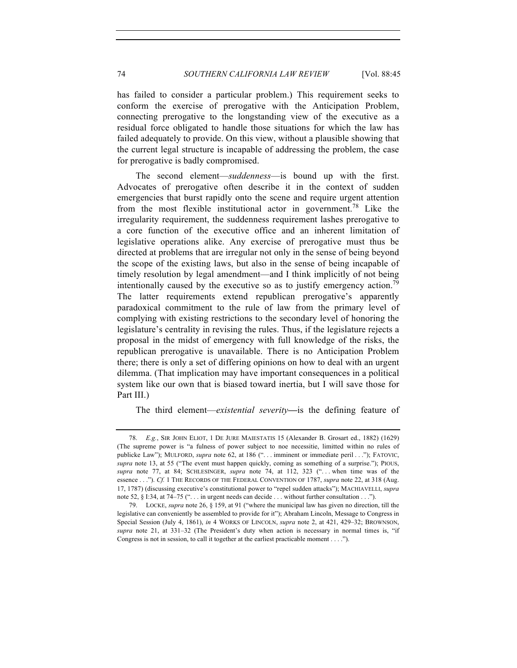has failed to consider a particular problem.) This requirement seeks to conform the exercise of prerogative with the Anticipation Problem, connecting prerogative to the longstanding view of the executive as a residual force obligated to handle those situations for which the law has failed adequately to provide. On this view, without a plausible showing that the current legal structure is incapable of addressing the problem, the case for prerogative is badly compromised.

The second element—*suddenness*—is bound up with the first. Advocates of prerogative often describe it in the context of sudden emergencies that burst rapidly onto the scene and require urgent attention from the most flexible institutional actor in government.<sup>78</sup> Like the irregularity requirement, the suddenness requirement lashes prerogative to a core function of the executive office and an inherent limitation of legislative operations alike. Any exercise of prerogative must thus be directed at problems that are irregular not only in the sense of being beyond the scope of the existing laws, but also in the sense of being incapable of timely resolution by legal amendment—and I think implicitly of not being intentionally caused by the executive so as to justify emergency action.<sup>79</sup> The latter requirements extend republican prerogative's apparently paradoxical commitment to the rule of law from the primary level of complying with existing restrictions to the secondary level of honoring the legislature's centrality in revising the rules. Thus, if the legislature rejects a proposal in the midst of emergency with full knowledge of the risks, the republican prerogative is unavailable. There is no Anticipation Problem there; there is only a set of differing opinions on how to deal with an urgent dilemma. (That implication may have important consequences in a political system like our own that is biased toward inertia, but I will save those for Part III.)

The third element—*existential severity—*is the defining feature of

<sup>78.</sup> *E.g.*, SIR JOHN ELIOT, 1 DE JURE MAIESTATIS 15 (Alexander B. Grosart ed., 1882) (1629) (The supreme power is "a fulness of power subject to noe necessitie, limitted within no rules of publicke Law"); MULFORD, *supra* note 62, at 186 ("... imminent or immediate peril ..."); FATOVIC, *supra* note 13, at 55 ("The event must happen quickly, coming as something of a surprise."); PIOUS, *supra* note 77, at 84; SCHLESINGER, *supra* note 74, at 112, 323 (". . . when time was of the essence . . ."). *Cf.* 1 THE RECORDS OF THE FEDERAL CONVENTION OF 1787, *supra* note 22, at 318 (Aug. 17, 1787) (discussing executive's constitutional power to "repel sudden attacks"); MACHIAVELLI, *supra* note 52, § I:34, at 74–75 (". . . in urgent needs can decide . . . without further consultation . . .").

<sup>79.</sup> LOCKE, *supra* note 26, § 159, at 91 ("where the municipal law has given no direction, till the legislative can conveniently be assembled to provide for it"); Abraham Lincoln, Message to Congress in Special Session (July 4, 1861), *in* 4 WORKS OF LINCOLN, *supra* note 2, at 421, 429–32; BROWNSON, *supra* note 21, at 331–32 (The President's duty when action is necessary in normal times is, "if Congress is not in session, to call it together at the earliest practicable moment . . . .").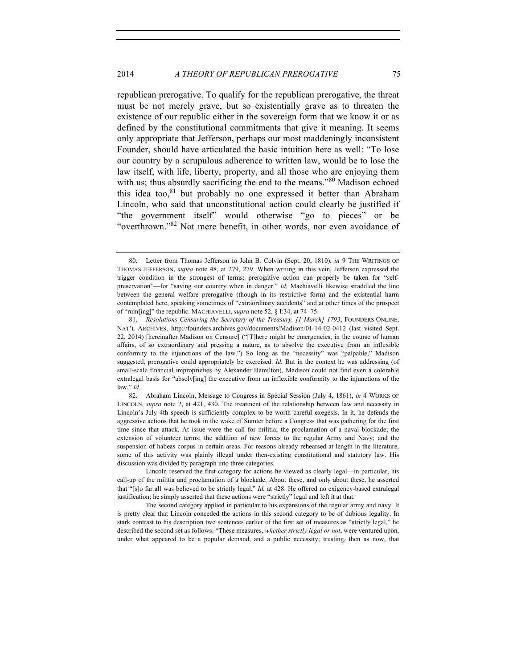republican prerogative. To qualify for the republican prerogative, the threat must be not merely grave, but so existentially grave as to threaten the existence of our republic either in the sovereign form that we know it or as defined by the constitutional commitments that give it meaning. It seems only appropriate that Jefferson, perhaps our most maddeningly inconsistent Founder, should have articulated the basic intuition here as well: "To lose our country by a scrupulous adherence to written law, would be to lose the law itself, with life, liberty, property, and all those who are enjoying them with us; thus absurdly sacrificing the end to the means."<sup>80</sup> Madison echoed this idea too,<sup>81</sup> but probably no one expressed it better than Abraham Lincoln, who said that unconstitutional action could clearly be justified if "the government itself" would otherwise "go to pieces" or be "overthrown."82 Not mere benefit, in other words, nor even avoidance of

<sup>80.</sup> Letter from Thomas Jefferson to John B. Colvin (Sept. 20, 1810), *in* 9 THE WRITINGS OF THOMAS JEFFERSON, *supra* note 48, at 279, 279. When writing in this vein, Jefferson expressed the trigger condition in the strongest of terms: prerogative action can properly be taken for "selfpreservation"—for "saving our country when in danger." *Id.* Machiavelli likewise straddled the line between the general welfare prerogative (though in its restrictive form) and the existential harm contemplated here, speaking sometimes of "extraordinary accidents" and at other times of the prospect of "ruin[ing]" the republic. MACHIAVELLI, *supra* note 52, § I:34, at 74–75.

<sup>81.</sup> *Resolutions Censuring the Secretary of the Treasury, [1 March] 1793*, FOUNDERS ONLINE, NAT'L ARCHIVES, http://founders.archives.gov/documents/Madison/01-14-02-0412 (last visited Sept. 22, 2014) [hereinafter Madison on Censure] ("[T]here might be emergencies, in the course of human affairs, of so extraordinary and pressing a nature, as to absolve the executive from an inflexible conformity to the injunctions of the law.") So long as the "necessity" was "palpable," Madison suggested, prerogative could appropriately be exercised. *Id.* But in the context he was addressing (of small-scale financial improprieties by Alexander Hamilton), Madison could not find even a colorable extralegal basis for "absolv[ing] the executive from an inflexible conformity to the injunctions of the law." *Id.*

<sup>82.</sup> Abraham Lincoln, Message to Congress in Special Session (July 4, 1861), *in* 4 WORKS OF LINCOLN, *supra* note 2, at 421, 430. The treatment of the relationship between law and necessity in Lincoln's July 4th speech is sufficiently complex to be worth careful exegesis. In it, he defends the aggressive actions that he took in the wake of Sumter before a Congress that was gathering for the first time since that attack. At issue were the call for militia; the proclamation of a naval blockade; the extension of volunteer terms; the addition of new forces to the regular Army and Navy; and the suspension of habeas corpus in certain areas. For reasons already rehearsed at length in the literature, some of this activity was plainly illegal under then-existing constitutional and statutory law. His discussion was divided by paragraph into three categories.

Lincoln reserved the first category for actions he viewed as clearly legal—in particular, his call-up of the militia and proclamation of a blockade. About these, and only about these, he asserted that "[s]o far all was believed to be strictly legal." *Id.* at 428. He offered no exigency-based extralegal justification; he simply asserted that these actions were "strictly" legal and left it at that.

The second category applied in particular to his expansions of the regular army and navy. It is pretty clear that Lincoln conceded the actions in this second category to be of dubious legality. In stark contrast to his description two sentences earlier of the first set of measures as "strictly legal," he described the second set as follows: "These measures, *whether strictly legal or not*, were ventured upon, under what appeared to be a popular demand, and a public necessity; trusting, then as now, that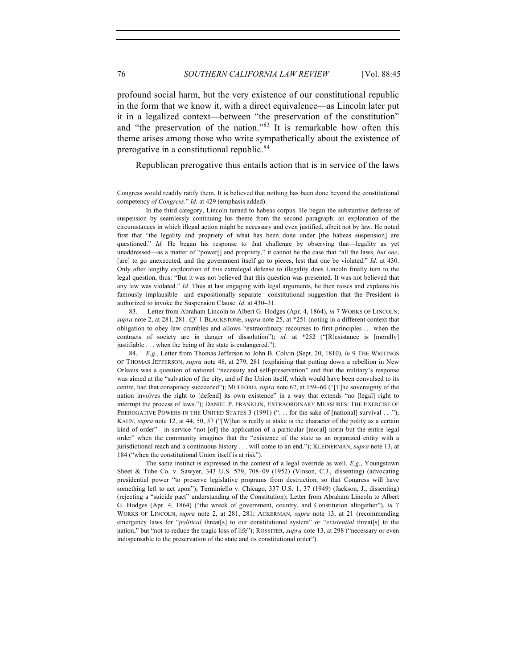profound social harm, but the very existence of our constitutional republic in the form that we know it, with a direct equivalence—as Lincoln later put it in a legalized context—between "the preservation of the constitution" and "the preservation of the nation."<sup>83</sup> It is remarkable how often this theme arises among those who write sympathetically about the existence of prerogative in a constitutional republic.<sup>84</sup>

Republican prerogative thus entails action that is in service of the laws

83. Letter from Abraham Lincoln to Albert G. Hodges (Apr. 4, 1864), *in* 7 WORKS OF LINCOLN, *supra* note 2, at 281, 281. *Cf.* 1 BLACKSTONE, *supra* note 25, at \*251 (noting in a different context that obligation to obey law crumbles and allows "extraordinary recourses to first principles . . . when the contracts of society are in danger of dissolution"); *id.* at \*252 ("[R]esistance is [morally] justifiable . . . when the being of the state is endangered.").

The same instinct is expressed in the context of a legal override as well. *E.g.*, Youngstown Sheet & Tube Co. v. Sawyer, 343 U.S. 579, 708–09 (1952) (Vinson, C.J., dissenting) (advocating presidential power "to preserve legislative programs from destruction, so that Congress will have something left to act upon"); Terminiello v. Chicago, 337 U.S. 1, 37 (1949) (Jackson, J., dissenting) (rejecting a "suicide pact" understanding of the Constitution); Letter from Abraham Lincoln to Albert G. Hodges (Apr. 4, 1864) ("the wreck of government, country, and Constitution altogether"), *in* 7 WORKS OF LINCOLN, *supra* note 2, at 281, 281; ACKERMAN, *supra* note 13, at 21 (recommending emergency laws for "*political* threat[s] to our constitutional system" or "*existential* threat[s] to the nation," but "not to reduce the tragic loss of life"); ROSSITER, *supra* note 13, at 298 ("necessary or even indispensable to the preservation of the state and its constitutional order").

Congress would readily ratify them. It is believed that nothing has been done beyond the constitutional competency *of Congress*." *Id.* at 429 (emphasis added).

In the third category, Lincoln turned to habeas corpus. He began the substantive defense of suspension by seamlessly continuing his theme from the second paragraph: an exploration of the circumstances in which illegal action might be necessary and even justified, albeit not by law. He noted first that "the legality and propriety of what has been done under [the habeas suspension] are questioned." *Id.* He began his response to that challenge by observing that—legality as yet unaddressed—as a matter of "power[] and propriety," it cannot be the case that "all the laws, *but one*, [are] to go unexecuted, and the government itself go to pieces, lest that one be violated." *Id.* at 430. Only after lengthy exploration of this extralegal defense to illegality does Lincoln finally turn to the legal question, thus: "But it was not believed that this question was presented. It was not believed that any law was violated." *Id.* Thus at last engaging with legal arguments, he then raises and explains his famously implausible—and expositionally separate—constitutional suggestion that the President is authorized to invoke the Suspension Clause. *Id.* at 430–31.

<sup>84.</sup> *E.g.*, Letter from Thomas Jefferson to John B. Colvin (Sept. 20, 1810), *in* 9 THE WRITINGS OF THOMAS JEFFERSON, *supra* note 48, at 279, 281 (explaining that putting down a rebellion in New Orleans was a question of national "necessity and self-preservation" and that the military's response was aimed at the "salvation of the city, and of the Union itself, which would have been convulsed to its centre, had that conspiracy succeeded"); MULFORD, *supra* note 62, at 159–60 ("[T]he sovereignty of the nation involves the right to [defend] its own existence" in a way that extends "no [legal] right to interrupt the process of laws."); DANIEL P. FRANKLIN, EXTRAORDINARY MEASURES: THE EXERCISE OF PREROGATIVE POWERS IN THE UNITED STATES 3 (1991) ("... for the sake of [national] survival ..."); KAHN, *supra* note 12, at 44, 50, 57 ("[W]hat is really at stake is the character of the polity as a certain kind of order"—in service "not [of] the application of a particular [moral] norm but the entire legal order" when the community imagines that the "existence of the state as an organized entity with a jurisdictional reach and a continuous history . . . will come to an end."); KLEINERMAN, *supra* note 13, at 184 ("when the constitutional Union itself is at risk").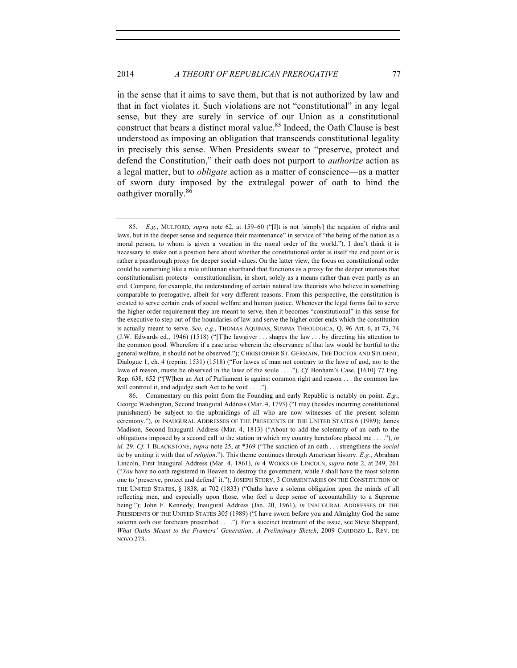in the sense that it aims to save them, but that is not authorized by law and that in fact violates it. Such violations are not "constitutional" in any legal sense, but they are surely in service of our Union as a constitutional construct that bears a distinct moral value.<sup>85</sup> Indeed, the Oath Clause is best understood as imposing an obligation that transcends constitutional legality in precisely this sense. When Presidents swear to "preserve, protect and defend the Constitution," their oath does not purport to *authorize* action as a legal matter, but to *obligate* action as a matter of conscience—as a matter of sworn duty imposed by the extralegal power of oath to bind the oathgiver morally.<sup>86</sup>

<sup>85.</sup> *E.g.*, MULFORD, *supra* note 62, at 159–60 ("[I]t is not [simply] the negation of rights and laws, but in the deeper sense and sequence their maintenance" in service of "the being of the nation as a moral person, to whom is given a vocation in the moral order of the world."). I don't think it is necessary to stake out a position here about whether the constitutional order is itself the end point or is rather a passthrough proxy for deeper social values. On the latter view, the focus on constitutional order could be something like a rule utilitarian shorthand that functions as a proxy for the deeper interests that constitutionalism protects—constitutionalism, in short, solely as a means rather than even partly as an end. Compare, for example, the understanding of certain natural law theorists who believe in something comparable to prerogative, albeit for very different reasons. From this perspective, the constitution is created to serve certain ends of social welfare and human justice. Whenever the legal forms fail to serve the higher order requirement they are meant to serve, then it becomes "constitutional" in this sense for the executive to step out of the boundaries of law and serve the higher order ends which the constitution is actually meant to serve. *See, e.g.*, THOMAS AQUINAS, SUMMA THEOLOGICA, Q. 96 Art. 6, at 73, 74 (J.W. Edwards ed., 1946) (1518) ("[T]he lawgiver . . . shapes the law . . . by directing his attention to the common good. Wherefore if a case arise wherein the observance of that law would be hurtful to the general welfare, it should not be observed."); CHRISTOPHER ST. GERMAIN, THE DOCTOR AND STUDENT, Dialogue 1, ch. 4 (reprint 1531) (1518) ("For lawes of man not contrary to the lawe of god, nor to the lawe of reason, muste be observed in the lawe of the soule . . . ."). *Cf*. Bonham's Case, [1610] 77 Eng. Rep. 638, 652 ("[W]hen an Act of Parliament is against common right and reason . . . the common law will controul it, and adjudge such Act to be void . . . .").

<sup>86.</sup> Commentary on this point from the Founding and early Republic is notably on point. *E.g.*, George Washington, Second Inaugural Address (Mar. 4, 1793) ("I may (besides incurring constitutional punishment) be subject to the upbraidings of all who are now witnesses of the present solemn ceremony."), *in* INAUGURAL ADDRESSES OF THE PRESIDENTS OF THE UNITED STATES 6 (1989); James Madison, Second Inaugural Address (Mar. 4, 1813) ("About to add the solemnity of an oath to the obligations imposed by a second call to the station in which my country heretofore placed me . . . ."), *in id.* 29. *Cf.* 1 BLACKSTONE, *supra* note 25, at \*369 ("The sanction of an oath . . . strengthens the *social* tie by uniting it with that of *religion*."). This theme continues through American history. *E.g.*, Abraham Lincoln, First Inaugural Address (Mar. 4, 1861), *in* 4 WORKS OF LINCOLN, *supra* note 2, at 249, 261 ("*You* have no oath registered in Heaven to destroy the government, while *I* shall have the most solemn one to 'preserve, protect and defend' it."); JOSEPH STORY, 3 COMMENTARIES ON THE CONSTITUTION OF THE UNITED STATES, § 1838, at 702 (1833) ("Oaths have a solemn obligation upon the minds of all reflecting men, and especially upon those, who feel a deep sense of accountability to a Supreme being."); John F. Kennedy, Inaugural Address (Jan. 20, 1961), *in* INAUGURAL ADDRESSES OF THE PRESIDENTS OF THE UNITED STATES 305 (1989) ("I have sworn before you and Almighty God the same solemn oath our forebears prescribed . . . ."). For a succinct treatment of the issue, see Steve Sheppard, *What Oaths Meant to the Framers' Generation: A Preliminary Sketch*, 2009 CARDOZO L. REV. DE NOVO 273.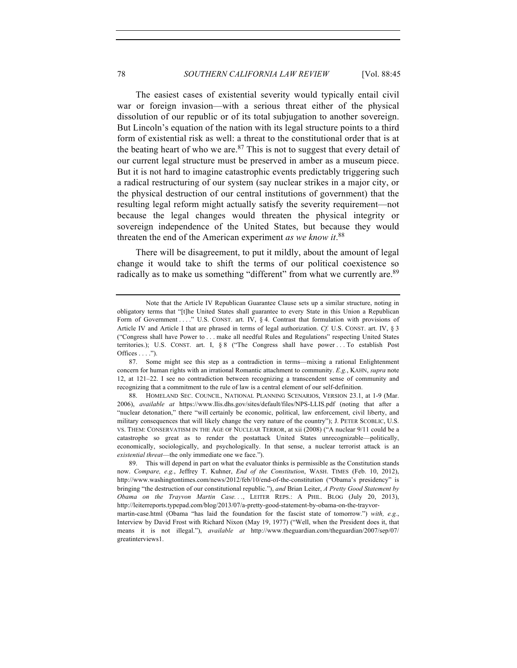The easiest cases of existential severity would typically entail civil war or foreign invasion—with a serious threat either of the physical dissolution of our republic or of its total subjugation to another sovereign. But Lincoln's equation of the nation with its legal structure points to a third form of existential risk as well: a threat to the constitutional order that is at the beating heart of who we are.<sup>87</sup> This is not to suggest that every detail of our current legal structure must be preserved in amber as a museum piece. But it is not hard to imagine catastrophic events predictably triggering such a radical restructuring of our system (say nuclear strikes in a major city, or the physical destruction of our central institutions of government) that the resulting legal reform might actually satisfy the severity requirement—not because the legal changes would threaten the physical integrity or sovereign independence of the United States, but because they would threaten the end of the American experiment *as we know it*. 88

There will be disagreement, to put it mildly, about the amount of legal change it would take to shift the terms of our political coexistence so radically as to make us something "different" from what we currently are.<sup>89</sup>

Note that the Article IV Republican Guarantee Clause sets up a similar structure, noting in obligatory terms that "[t]he United States shall guarantee to every State in this Union a Republican Form of Government . . . . " U.S. CONST. art. IV, § 4. Contrast that formulation with provisions of Article IV and Article I that are phrased in terms of legal authorization. *Cf.* U.S. CONST. art. IV, § 3 ("Congress shall have Power to . . . make all needful Rules and Regulations" respecting United States territories.); U.S. CONST. art. I, § 8 ("The Congress shall have power . . . To establish Post Offices  $\dots$ .").

<sup>87.</sup> Some might see this step as a contradiction in terms—mixing a rational Enlightenment concern for human rights with an irrational Romantic attachment to community. *E.g.*, KAHN, *supra* note 12, at 121–22. I see no contradiction between recognizing a transcendent sense of community and recognizing that a commitment to the rule of law is a central element of our self-definition.

<sup>88.</sup> HOMELAND SEC. COUNCIL, NATIONAL PLANNING SCENARIOS, VERSION 23.1, at 1-9 (Mar. 2006), *available at* https://www.llis.dhs.gov/sites/default/files/NPS-LLIS.pdf (noting that after a "nuclear detonation," there "will certainly be economic, political, law enforcement, civil liberty, and military consequences that will likely change the very nature of the country"); J. PETER SCOBLIC, U.S. VS. THEM: CONSERVATISM IN THE AGE OF NUCLEAR TERROR, at xii (2008) ("A nuclear 9/11 could be a catastrophe so great as to render the postattack United States unrecognizable—politically, economically, sociologically, and psychologically. In that sense, a nuclear terrorist attack is an *existential threat*—the only immediate one we face.").

<sup>89.</sup> This will depend in part on what the evaluator thinks is permissible as the Constitution stands now. *Compare, e.g.*, Jeffrey T. Kuhner, *End of the Constitution*, WASH. TIMES (Feb. 10, 2012), http://www.washingtontimes.com/news/2012/feb/10/end-of-the-constitution ("Obama's presidency" is bringing "the destruction of our constitutional republic."), *and* Brian Leiter, *A Pretty Good Statement by Obama on the Trayvon Martin Case. . .*, LEITER REPS.: A PHIL. BLOG (July 20, 2013), http://leiterreports.typepad.com/blog/2013/07/a-pretty-good-statement-by-obama-on-the-trayvor-

martin-case.html (Obama "has laid the foundation for the fascist state of tomorrow.") *with, e.g.*, Interview by David Frost with Richard Nixon (May 19, 1977) ("Well, when the President does it, that means it is not illegal."), *available at* http://www.theguardian.com/theguardian/2007/sep/07/ greatinterviews1.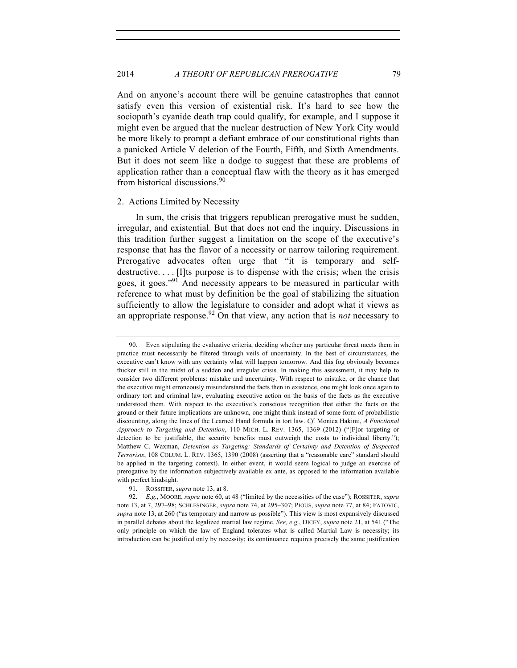## 2014 *A THEORY OF REPUBLICAN PREROGATIVE* 79

And on anyone's account there will be genuine catastrophes that cannot satisfy even this version of existential risk. It's hard to see how the sociopath's cyanide death trap could qualify, for example, and I suppose it might even be argued that the nuclear destruction of New York City would be more likely to prompt a defiant embrace of our constitutional rights than a panicked Article V deletion of the Fourth, Fifth, and Sixth Amendments. But it does not seem like a dodge to suggest that these are problems of application rather than a conceptual flaw with the theory as it has emerged from historical discussions.<sup>90</sup>

#### 2. Actions Limited by Necessity

In sum, the crisis that triggers republican prerogative must be sudden, irregular, and existential. But that does not end the inquiry. Discussions in this tradition further suggest a limitation on the scope of the executive's response that has the flavor of a necessity or narrow tailoring requirement. Prerogative advocates often urge that "it is temporary and selfdestructive. . . . [I]ts purpose is to dispense with the crisis; when the crisis goes, it goes."<sup>91</sup> And necessity appears to be measured in particular with reference to what must by definition be the goal of stabilizing the situation sufficiently to allow the legislature to consider and adopt what it views as an appropriate response.<sup>92</sup> On that view, any action that is *not* necessary to

<sup>90.</sup> Even stipulating the evaluative criteria, deciding whether any particular threat meets them in practice must necessarily be filtered through veils of uncertainty. In the best of circumstances, the executive can't know with any certainty what will happen tomorrow. And this fog obviously becomes thicker still in the midst of a sudden and irregular crisis. In making this assessment, it may help to consider two different problems: mistake and uncertainty. With respect to mistake, or the chance that the executive might erroneously misunderstand the facts then in existence, one might look once again to ordinary tort and criminal law, evaluating executive action on the basis of the facts as the executive understood them. With respect to the executive's conscious recognition that either the facts on the ground or their future implications are unknown, one might think instead of some form of probabilistic discounting, along the lines of the Learned Hand formula in tort law. *Cf.* Monica Hakimi, *A Functional Approach to Targeting and Detention*, 110 MICH. L. REV. 1365, 1369 (2012) ("[F]or targeting or detection to be justifiable, the security benefits must outweigh the costs to individual liberty."); Matthew C. Waxman, *Detention as Targeting: Standards of Certainty and Detention of Suspected Terrorists*, 108 COLUM. L. REV. 1365, 1390 (2008) (asserting that a "reasonable care" standard should be applied in the targeting context). In either event, it would seem logical to judge an exercise of prerogative by the information subjectively available ex ante, as opposed to the information available with perfect hindsight.

<sup>91.</sup> ROSSITER, *supra* note 13, at 8.

<sup>92.</sup> *E.g.*, MOORE, *supra* note 60, at 48 ("limited by the necessities of the case"); ROSSITER, *supra* note 13, at 7, 297–98; SCHLESINGER, *supra* note 74, at 295–307; PIOUS, *supra* note 77, at 84; FATOVIC, *supra* note 13, at 260 ("as temporary and narrow as possible"). This view is most expansively discussed in parallel debates about the legalized martial law regime. *See, e.g.*, DICEY, *supra* note 21, at 541 ("The only principle on which the law of England tolerates what is called Martial Law is necessity; its introduction can be justified only by necessity; its continuance requires precisely the same justification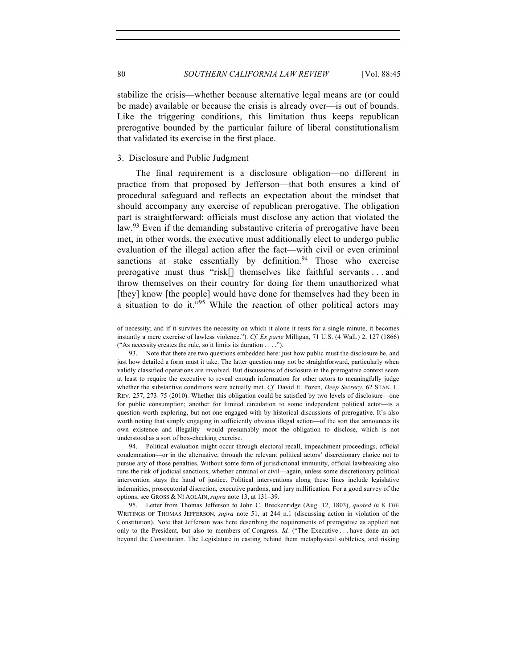stabilize the crisis—whether because alternative legal means are (or could be made) available or because the crisis is already over—is out of bounds. Like the triggering conditions, this limitation thus keeps republican prerogative bounded by the particular failure of liberal constitutionalism that validated its exercise in the first place.

# 3. Disclosure and Public Judgment

The final requirement is a disclosure obligation—no different in practice from that proposed by Jefferson—that both ensures a kind of procedural safeguard and reflects an expectation about the mindset that should accompany any exercise of republican prerogative. The obligation part is straightforward: officials must disclose any action that violated the law.<sup>93</sup> Even if the demanding substantive criteria of prerogative have been met, in other words, the executive must additionally elect to undergo public evaluation of the illegal action after the fact—with civil or even criminal sanctions at stake essentially by definition.<sup>94</sup> Those who exercise prerogative must thus "risk[] themselves like faithful servants . . . and throw themselves on their country for doing for them unauthorized what [they] know [the people] would have done for themselves had they been in a situation to do it."<sup>95</sup> While the reaction of other political actors may

of necessity; and if it survives the necessity on which it alone it rests for a single minute, it becomes instantly a mere exercise of lawless violence."). *Cf. Ex parte* Milligan, 71 U.S. (4 Wall.) 2, 127 (1866) ("As necessity creates the rule, so it limits its duration . . . .").

<sup>93.</sup> Note that there are two questions embedded here: just how public must the disclosure be, and just how detailed a form must it take. The latter question may not be straightforward, particularly when validly classified operations are involved. But discussions of disclosure in the prerogative context seem at least to require the executive to reveal enough information for other actors to meaningfully judge whether the substantive conditions were actually met. *Cf.* David E. Pozen, *Deep Secrecy*, 62 STAN. L. REV. 257, 273–75 (2010). Whether this obligation could be satisfied by two levels of disclosure—one for public consumption; another for limited circulation to some independent political actor—is a question worth exploring, but not one engaged with by historical discussions of prerogative. It's also worth noting that simply engaging in sufficiently obvious illegal action—of the sort that announces its own existence and illegality—would presumably moot the obligation to disclose, which is not understood as a sort of box-checking exercise.

<sup>94.</sup> Political evaluation might occur through electoral recall, impeachment proceedings, official condemnation—or in the alternative, through the relevant political actors' discretionary choice not to pursue any of those penalties. Without some form of jurisdictional immunity, official lawbreaking also runs the risk of judicial sanctions, whether criminal or civil—again, unless some discretionary political intervention stays the hand of justice. Political interventions along these lines include legislative indemnities, prosecutorial discretion, executive pardons, and jury nullification. For a good survey of the options, see GROSS & NÍ AOLÁIN, *supra* note 13, at 131–39.

<sup>95.</sup> Letter from Thomas Jefferson to John C. Breckenridge (Aug. 12, 1803), *quoted in* 8 THE WRITINGS OF THOMAS JEFFERSON, *supra* note 51, at 244 n.1 (discussing action in violation of the Constitution). Note that Jefferson was here describing the requirements of prerogative as applied not only to the President, but also to members of Congress. *Id.* ("The Executive . . . have done an act beyond the Constitution. The Legislature in casting behind them metaphysical subtleties, and risking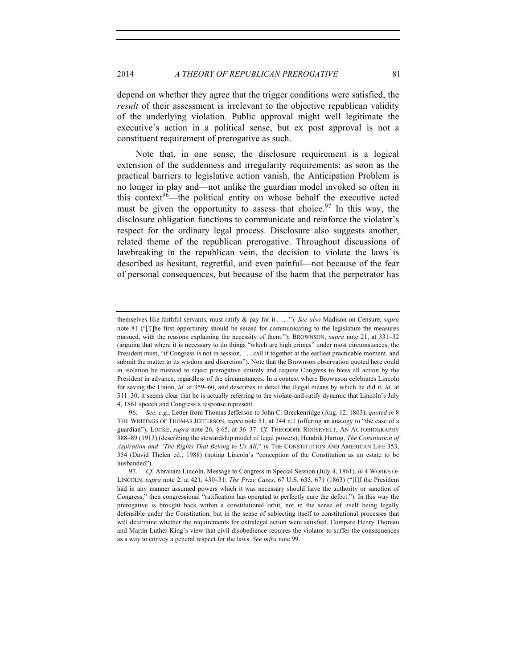depend on whether they agree that the trigger conditions were satisfied, the *result* of their assessment is irrelevant to the objective republican validity of the underlying violation. Public approval might well legitimate the executive's action in a political sense, but ex post approval is not a constituent requirement of prerogative as such.

Note that, in one sense, the disclosure requirement is a logical extension of the suddenness and irregularity requirements: as soon as the practical barriers to legislative action vanish, the Anticipation Problem is no longer in play and—not unlike the guardian model invoked so often in this context<sup>96</sup>—the political entity on whose behalf the executive acted must be given the opportunity to assess that choice.<sup>97</sup> In this way, the disclosure obligation functions to communicate and reinforce the violator's respect for the ordinary legal process. Disclosure also suggests another, related theme of the republican prerogative. Throughout discussions of lawbreaking in the republican vein, the decision to violate the laws is described as hesitant, regretful, and even painful—not because of the fear of personal consequences, but because of the harm that the perpetrator has

themselves like faithful servants, must ratify & pay for it . . . ."). *See also* Madison on Censure, *supra* note 81 ("[T]he first opportunity should be seized for communicating to the legislature the measures pursued, with the reasons explaining the necessity of them."); BROWNSON, *supra* note 21, at 331–32 (arguing that where it is necessary to do things "which are high crimes" under most circumstances, the President must, "if Congress is not in session, . . . call it together at the earliest practicable moment, and submit the matter to its wisdom and discretion"). Note that the Brownson observation quoted here could in isolation be misread to reject prerogative entirely and require Congress to bless all action by the President in advance, regardless of the circumstances. In a context where Brownson celebrates Lincoln for saving the Union, *id.* at 359–60, and describes in detail the illegal means by which he did it, *id.* at 311–30, it seems clear that he is actually referring to the violate-and-ratify dynamic that Lincoln's July 4, 1861 speech and Congress's response represent.

<sup>96.</sup> *See, e.g.*, Letter from Thomas Jefferson to John C. Breckenridge (Aug. 12, 1803), *quoted in* 8 THE WRITINGS OF THOMAS JEFFERSON, *supra* note 51, at 244 n.1 (offering an analogy to "the case of a guardian"); LOCKE, *supra* note 26, § 65, at 36–37. *Cf.* THEODORE ROOSEVELT, AN AUTOBIOGRAPHY 388–89 (1913) (describing the stewardship model of legal powers); Hendrik Hartog, *The Constitution of Aspiration and "The Rights That Belong to Us All*," *in* THE CONSTITUTION AND AMERICAN LIFE 353, 354 (David Thelen ed., 1988) (noting Lincoln's "conception of the Constitution as an estate to be husbanded").

<sup>97.</sup> *Cf.* Abraham Lincoln, Message to Congress in Special Session (July 4, 1861), *in* 4 WORKS OF LINCOLN, *supra* note 2, at 421, 430–31; *The Prize Cases*, 67 U.S. 635, 671 (1863) ("[I]f the President had in any manner assumed powers which it was necessary should have the authority or sanction of Congress," then congressional "ratification has operated to perfectly cure the defect."). In this way the prerogative is brought back within a constitutional orbit, not in the sense of itself being legally defensible under the Constitution, but in the sense of subjecting itself to constitutional processes that will determine whether the requirements for extralegal action were satisfied. Compare Henry Thoreau and Martin Luther King's view that civil disobedience requires the violator to suffer the consequences as a way to convey a general respect for the laws. *See infra* note 99.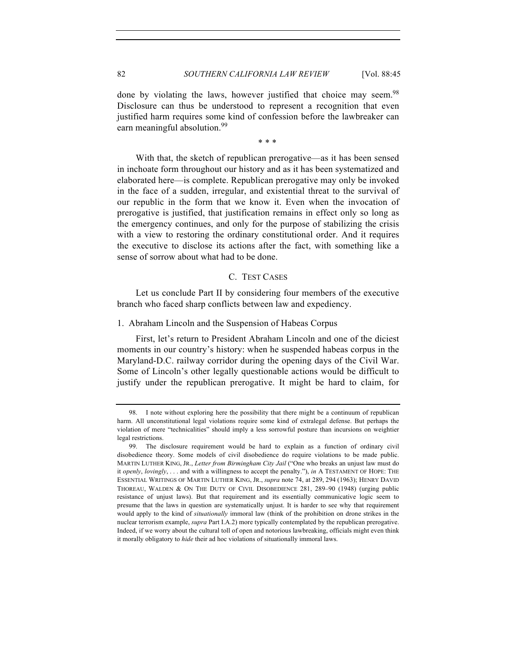done by violating the laws, however justified that choice may seem.<sup>98</sup> Disclosure can thus be understood to represent a recognition that even justified harm requires some kind of confession before the lawbreaker can earn meaningful absolution.<sup>99</sup>

\* \* \*

With that, the sketch of republican prerogative—as it has been sensed in inchoate form throughout our history and as it has been systematized and elaborated here—is complete. Republican prerogative may only be invoked in the face of a sudden, irregular, and existential threat to the survival of our republic in the form that we know it. Even when the invocation of prerogative is justified, that justification remains in effect only so long as the emergency continues, and only for the purpose of stabilizing the crisis with a view to restoring the ordinary constitutional order. And it requires the executive to disclose its actions after the fact, with something like a sense of sorrow about what had to be done.

## C. TEST CASES

Let us conclude Part II by considering four members of the executive branch who faced sharp conflicts between law and expediency.

#### 1. Abraham Lincoln and the Suspension of Habeas Corpus

First, let's return to President Abraham Lincoln and one of the diciest moments in our country's history: when he suspended habeas corpus in the Maryland-D.C. railway corridor during the opening days of the Civil War. Some of Lincoln's other legally questionable actions would be difficult to justify under the republican prerogative. It might be hard to claim, for

<sup>98.</sup> I note without exploring here the possibility that there might be a continuum of republican harm. All unconstitutional legal violations require some kind of extralegal defense. But perhaps the violation of mere "technicalities" should imply a less sorrowful posture than incursions on weightier legal restrictions.

<sup>99.</sup> The disclosure requirement would be hard to explain as a function of ordinary civil disobedience theory. Some models of civil disobedience do require violations to be made public. MARTIN LUTHER KING, JR., *Letter from Birmingham City Jail* ("One who breaks an unjust law must do it *openly*, *lovingly*, . . . and with a willingness to accept the penalty."), *in* A TESTAMENT OF HOPE: THE ESSENTIAL WRITINGS OF MARTIN LUTHER KING, JR., *supra* note 74, at 289, 294 (1963); HENRY DAVID THOREAU, WALDEN & ON THE DUTY OF CIVIL DISOBEDIENCE 281, 289–90 (1948) (urging public resistance of unjust laws). But that requirement and its essentially communicative logic seem to presume that the laws in question are systematically unjust. It is harder to see why that requirement would apply to the kind of *situationally* immoral law (think of the prohibition on drone strikes in the nuclear terrorism example, *supra* Part I.A.2) more typically contemplated by the republican prerogative. Indeed, if we worry about the cultural toll of open and notorious lawbreaking, officials might even think it morally obligatory to *hide* their ad hoc violations of situationally immoral laws.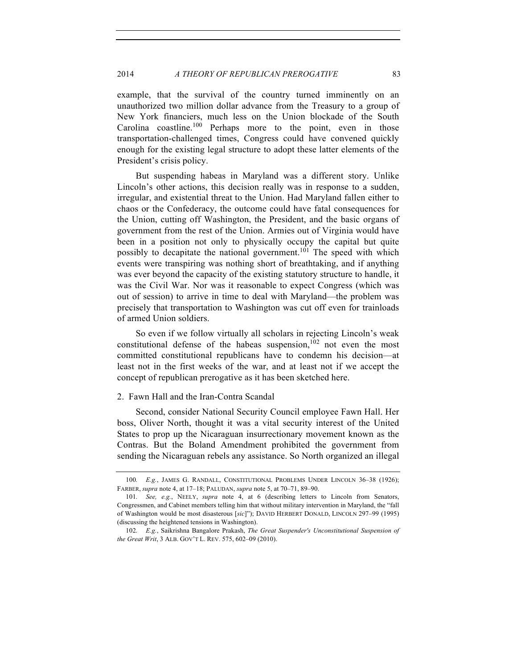example, that the survival of the country turned imminently on an unauthorized two million dollar advance from the Treasury to a group of New York financiers, much less on the Union blockade of the South Carolina coastline.<sup>100</sup> Perhaps more to the point, even in those transportation-challenged times, Congress could have convened quickly enough for the existing legal structure to adopt these latter elements of the President's crisis policy.

But suspending habeas in Maryland was a different story. Unlike Lincoln's other actions, this decision really was in response to a sudden, irregular, and existential threat to the Union. Had Maryland fallen either to chaos or the Confederacy, the outcome could have fatal consequences for the Union, cutting off Washington, the President, and the basic organs of government from the rest of the Union. Armies out of Virginia would have been in a position not only to physically occupy the capital but quite possibly to decapitate the national government.<sup>101</sup> The speed with which events were transpiring was nothing short of breathtaking, and if anything was ever beyond the capacity of the existing statutory structure to handle, it was the Civil War. Nor was it reasonable to expect Congress (which was out of session) to arrive in time to deal with Maryland—the problem was precisely that transportation to Washington was cut off even for trainloads of armed Union soldiers.

So even if we follow virtually all scholars in rejecting Lincoln's weak constitutional defense of the habeas suspension, $102$  not even the most committed constitutional republicans have to condemn his decision—at least not in the first weeks of the war, and at least not if we accept the concept of republican prerogative as it has been sketched here.

## 2. Fawn Hall and the Iran-Contra Scandal

Second, consider National Security Council employee Fawn Hall. Her boss, Oliver North, thought it was a vital security interest of the United States to prop up the Nicaraguan insurrectionary movement known as the Contras. But the Boland Amendment prohibited the government from sending the Nicaraguan rebels any assistance. So North organized an illegal

<sup>100.</sup> *E.g.*, JAMES G. RANDALL, CONSTITUTIONAL PROBLEMS UNDER LINCOLN 36–38 (1926); FARBER, *supra* note 4, at 17–18; PALUDAN, *supra* note 5, at 70–71, 89–90.

<sup>101.</sup> *See, e.g.*, NEELY, *supra* note 4, at 6 (describing letters to Lincoln from Senators, Congressmen, and Cabinet members telling him that without military intervention in Maryland, the "fall of Washington would be most disasterous [*sic*]"); DAVID HERBERT DONALD, LINCOLN 297–99 (1995) (discussing the heightened tensions in Washington).

<sup>102.</sup> *E.g.*, Saikrishna Bangalore Prakash, *The Great Suspender's Unconstitutional Suspension of the Great Writ*, 3 ALB. GOV'T L. REV. 575, 602–09 (2010).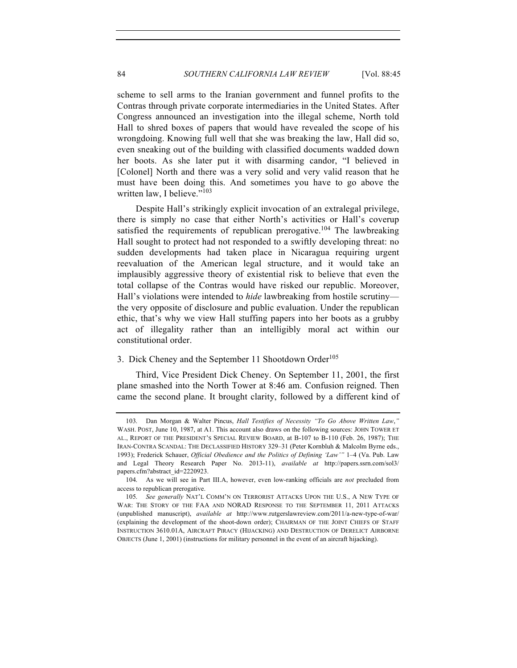scheme to sell arms to the Iranian government and funnel profits to the Contras through private corporate intermediaries in the United States. After Congress announced an investigation into the illegal scheme, North told Hall to shred boxes of papers that would have revealed the scope of his wrongdoing. Knowing full well that she was breaking the law, Hall did so, even sneaking out of the building with classified documents wadded down her boots. As she later put it with disarming candor, "I believed in [Colonel] North and there was a very solid and very valid reason that he must have been doing this. And sometimes you have to go above the written law, I believe."<sup>103</sup>

Despite Hall's strikingly explicit invocation of an extralegal privilege, there is simply no case that either North's activities or Hall's coverup satisfied the requirements of republican prerogative.<sup>104</sup> The lawbreaking Hall sought to protect had not responded to a swiftly developing threat: no sudden developments had taken place in Nicaragua requiring urgent reevaluation of the American legal structure, and it would take an implausibly aggressive theory of existential risk to believe that even the total collapse of the Contras would have risked our republic. Moreover, Hall's violations were intended to *hide* lawbreaking from hostile scrutiny the very opposite of disclosure and public evaluation. Under the republican ethic, that's why we view Hall stuffing papers into her boots as a grubby act of illegality rather than an intelligibly moral act within our constitutional order.

# 3. Dick Cheney and the September 11 Shootdown Order<sup>105</sup>

Third, Vice President Dick Cheney. On September 11, 2001, the first plane smashed into the North Tower at 8:46 am. Confusion reigned. Then came the second plane. It brought clarity, followed by a different kind of

<sup>103.</sup> Dan Morgan & Walter Pincus, *Hall Testifies of Necessity "To Go Above Written Law*,*"* WASH. POST, June 10, 1987, at A1. This account also draws on the following sources: JOHN TOWER ET AL., REPORT OF THE PRESIDENT'S SPECIAL REVIEW BOARD, at B-107 to B-110 (Feb. 26, 1987); THE IRAN-CONTRA SCANDAL: THE DECLASSIFIED HISTORY 329–31 (Peter Kornbluh & Malcolm Byrne eds., 1993); Frederick Schauer, *Official Obedience and the Politics of Defining 'Law'"* 1–4 (Va. Pub. Law and Legal Theory Research Paper No. 2013-11), *available at* http://papers.ssrn.com/sol3/ papers.cfm?abstract\_id=2220923.

<sup>104.</sup> As we will see in Part III.A, however, even low-ranking officials are *not* precluded from access to republican prerogative.

<sup>105.</sup> *See generally* NAT'L COMM'N ON TERRORIST ATTACKS UPON THE U.S., A NEW TYPE OF WAR: THE STORY OF THE FAA AND NORAD RESPONSE TO THE SEPTEMBER 11, 2011 ATTACKS (unpublished manuscript), *available at* http://www.rutgerslawreview.com/2011/a-new-type-of-war/ (explaining the development of the shoot-down order); CHAIRMAN OF THE JOINT CHIEFS OF STAFF INSTRUCTION 3610.01A, AIRCRAFT PIRACY (HIJACKING) AND DESTRUCTION OF DERELICT AIRBORNE OBJECTS (June 1, 2001) (instructions for military personnel in the event of an aircraft hijacking).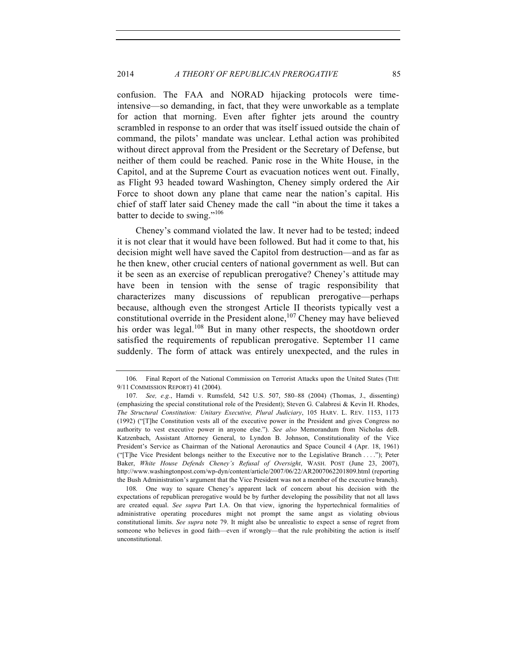confusion. The FAA and NORAD hijacking protocols were timeintensive—so demanding, in fact, that they were unworkable as a template for action that morning. Even after fighter jets around the country scrambled in response to an order that was itself issued outside the chain of command, the pilots' mandate was unclear. Lethal action was prohibited without direct approval from the President or the Secretary of Defense, but neither of them could be reached. Panic rose in the White House, in the Capitol, and at the Supreme Court as evacuation notices went out. Finally, as Flight 93 headed toward Washington, Cheney simply ordered the Air Force to shoot down any plane that came near the nation's capital. His chief of staff later said Cheney made the call "in about the time it takes a batter to decide to swing." $106$ 

Cheney's command violated the law. It never had to be tested; indeed it is not clear that it would have been followed. But had it come to that, his decision might well have saved the Capitol from destruction—and as far as he then knew, other crucial centers of national government as well. But can it be seen as an exercise of republican prerogative? Cheney's attitude may have been in tension with the sense of tragic responsibility that characterizes many discussions of republican prerogative—perhaps because, although even the strongest Article II theorists typically vest a constitutional override in the President alone,  $107$  Cheney may have believed his order was legal.<sup>108</sup> But in many other respects, the shootdown order satisfied the requirements of republican prerogative. September 11 came suddenly. The form of attack was entirely unexpected, and the rules in

<sup>106.</sup> Final Report of the National Commission on Terrorist Attacks upon the United States (THE 9/11 COMMISSION REPORT) 41 (2004).

<sup>107.</sup> *See, e.g.*, Hamdi v. Rumsfeld, 542 U.S. 507, 580–88 (2004) (Thomas, J., dissenting) (emphasizing the special constitutional role of the President); Steven G. Calabresi & Kevin H. Rhodes, *The Structural Constitution: Unitary Executive, Plural Judiciary*, 105 HARV. L. REV. 1153, 1173 (1992) ("[T]he Constitution vests all of the executive power in the President and gives Congress no authority to vest executive power in anyone else."). *See also* Memorandum from Nicholas deB. Katzenbach, Assistant Attorney General, to Lyndon B. Johnson, Constitutionality of the Vice President's Service as Chairman of the National Aeronautics and Space Council 4 (Apr. 18, 1961) ("[T]he Vice President belongs neither to the Executive nor to the Legislative Branch . . . ."); Peter Baker, *White House Defends Cheney's Refusal of Oversight*, WASH. POST (June 23, 2007), http://www.washingtonpost.com/wp-dyn/content/article/2007/06/22/AR2007062201809.html (reporting the Bush Administration's argument that the Vice President was not a member of the executive branch).

<sup>108.</sup> One way to square Cheney's apparent lack of concern about his decision with the expectations of republican prerogative would be by further developing the possibility that not all laws are created equal. *See supra* Part I.A. On that view, ignoring the hypertechnical formalities of administrative operating procedures might not prompt the same angst as violating obvious constitutional limits. *See supra* note 79. It might also be unrealistic to expect a sense of regret from someone who believes in good faith—even if wrongly—that the rule prohibiting the action is itself unconstitutional.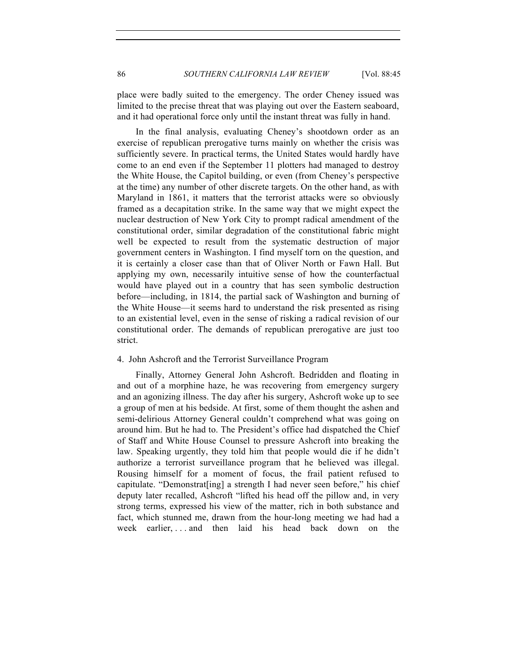place were badly suited to the emergency. The order Cheney issued was limited to the precise threat that was playing out over the Eastern seaboard, and it had operational force only until the instant threat was fully in hand.

In the final analysis, evaluating Cheney's shootdown order as an exercise of republican prerogative turns mainly on whether the crisis was sufficiently severe. In practical terms, the United States would hardly have come to an end even if the September 11 plotters had managed to destroy the White House, the Capitol building, or even (from Cheney's perspective at the time) any number of other discrete targets. On the other hand, as with Maryland in 1861, it matters that the terrorist attacks were so obviously framed as a decapitation strike. In the same way that we might expect the nuclear destruction of New York City to prompt radical amendment of the constitutional order, similar degradation of the constitutional fabric might well be expected to result from the systematic destruction of major government centers in Washington. I find myself torn on the question, and it is certainly a closer case than that of Oliver North or Fawn Hall. But applying my own, necessarily intuitive sense of how the counterfactual would have played out in a country that has seen symbolic destruction before—including, in 1814, the partial sack of Washington and burning of the White House—it seems hard to understand the risk presented as rising to an existential level, even in the sense of risking a radical revision of our constitutional order. The demands of republican prerogative are just too strict.

#### 4. John Ashcroft and the Terrorist Surveillance Program

Finally, Attorney General John Ashcroft. Bedridden and floating in and out of a morphine haze, he was recovering from emergency surgery and an agonizing illness. The day after his surgery, Ashcroft woke up to see a group of men at his bedside. At first, some of them thought the ashen and semi-delirious Attorney General couldn't comprehend what was going on around him. But he had to. The President's office had dispatched the Chief of Staff and White House Counsel to pressure Ashcroft into breaking the law. Speaking urgently, they told him that people would die if he didn't authorize a terrorist surveillance program that he believed was illegal. Rousing himself for a moment of focus, the frail patient refused to capitulate. "Demonstrat[ing] a strength I had never seen before," his chief deputy later recalled, Ashcroft "lifted his head off the pillow and, in very strong terms, expressed his view of the matter, rich in both substance and fact, which stunned me, drawn from the hour-long meeting we had had a week earlier, . . . and then laid his head back down on the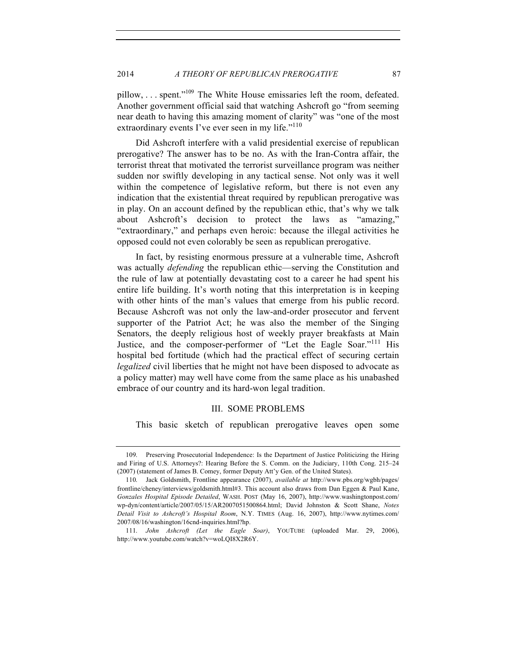pillow, ... spent."<sup>109</sup> The White House emissaries left the room, defeated. Another government official said that watching Ashcroft go "from seeming near death to having this amazing moment of clarity" was "one of the most extraordinary events I've ever seen in my life."<sup>110</sup>

Did Ashcroft interfere with a valid presidential exercise of republican prerogative? The answer has to be no. As with the Iran-Contra affair, the terrorist threat that motivated the terrorist surveillance program was neither sudden nor swiftly developing in any tactical sense. Not only was it well within the competence of legislative reform, but there is not even any indication that the existential threat required by republican prerogative was in play. On an account defined by the republican ethic, that's why we talk about Ashcroft's decision to protect the laws as "amazing," "extraordinary," and perhaps even heroic: because the illegal activities he opposed could not even colorably be seen as republican prerogative.

In fact, by resisting enormous pressure at a vulnerable time, Ashcroft was actually *defending* the republican ethic—serving the Constitution and the rule of law at potentially devastating cost to a career he had spent his entire life building. It's worth noting that this interpretation is in keeping with other hints of the man's values that emerge from his public record. Because Ashcroft was not only the law-and-order prosecutor and fervent supporter of the Patriot Act; he was also the member of the Singing Senators, the deeply religious host of weekly prayer breakfasts at Main Justice, and the composer-performer of "Let the Eagle Soar."<sup>111</sup> His hospital bed fortitude (which had the practical effect of securing certain *legalized* civil liberties that he might not have been disposed to advocate as a policy matter) may well have come from the same place as his unabashed embrace of our country and its hard-won legal tradition.

## III. SOME PROBLEMS

This basic sketch of republican prerogative leaves open some

<sup>109.</sup> Preserving Prosecutorial Independence: Is the Department of Justice Politicizing the Hiring and Firing of U.S. Attorneys?: Hearing Before the S. Comm. on the Judiciary, 110th Cong. 215–24 (2007) (statement of James B. Comey, former Deputy Att'y Gen. of the United States).

<sup>110.</sup> Jack Goldsmith, Frontline appearance (2007), *available at* http://www.pbs.org/wgbh/pages/ frontline/cheney/interviews/goldsmith.html#3. This account also draws from Dan Eggen & Paul Kane, *Gonzales Hospital Episode Detailed*, WASH. POST (May 16, 2007), http://www.washingtonpost.com/ wp-dyn/content/article/2007/05/15/AR2007051500864.html; David Johnston & Scott Shane, *Notes Detail Visit to Ashcroft's Hospital Room*, N.Y. TIMES (Aug. 16, 2007), http://www.nytimes.com/ 2007/08/16/washington/16cnd-inquiries.html?hp.

<sup>111.</sup> *John Ashcroft (Let the Eagle Soar)*, YOUTUBE (uploaded Mar. 29, 2006), http://www.youtube.com/watch?v=woLQI8X2R6Y.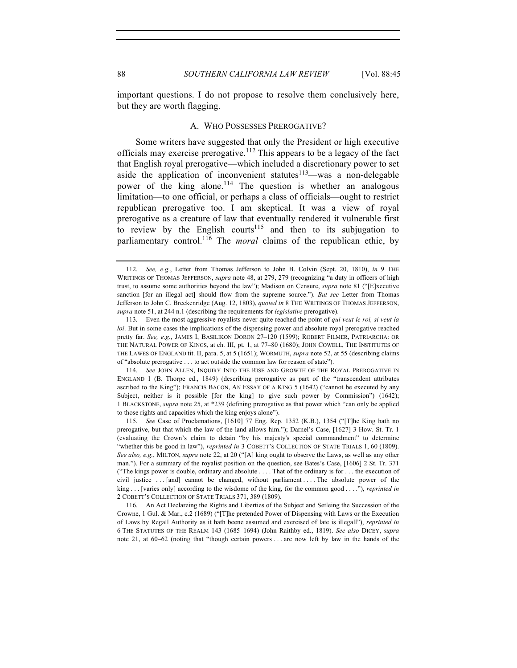important questions. I do not propose to resolve them conclusively here, but they are worth flagging.

## A. WHO POSSESSES PREROGATIVE?

Some writers have suggested that only the President or high executive officials may exercise prerogative.<sup>112</sup> This appears to be a legacy of the fact that English royal prerogative—which included a discretionary power to set aside the application of inconvenient statutes $113$ —was a non-delegable power of the king alone.<sup>114</sup> The question is whether an analogous limitation—to one official, or perhaps a class of officials—ought to restrict republican prerogative too. I am skeptical. It was a view of royal prerogative as a creature of law that eventually rendered it vulnerable first to review by the English courts<sup>115</sup> and then to its subjugation to parliamentary control.<sup>116</sup> The *moral* claims of the republican ethic, by

114. *See* JOHN ALLEN, INQUIRY INTO THE RISE AND GROWTH OF THE ROYAL PREROGATIVE IN ENGLAND 1 (B. Thorpe ed., 1849) (describing prerogative as part of the "transcendent attributes ascribed to the King"); FRANCIS BACON, AN ESSAY OF A KING 5 (1642) ("cannot be executed by any Subject, neither is it possible [for the king] to give such power by Commission") (1642); 1 BLACKSTONE, *supra* note 25, at \*239 (defining prerogative as that power which "can only be applied to those rights and capacities which the king enjoys alone").

115. *See* Case of Proclamations, [1610] 77 Eng. Rep. 1352 (K.B.), 1354 ("[T]he King hath no prerogative, but that which the law of the land allows him."); Darnel's Case, [1627] 3 How. St. Tr. 1 (evaluating the Crown's claim to detain "by his majesty's special commandment" to determine "whether this be good in law"), *reprinted in* 3 COBETT'S COLLECTION OF STATE TRIALS 1, 60 (1809). *See also, e.g.*, MILTON, *supra* note 22, at 20 ("[A] king ought to observe the Laws, as well as any other man."). For a summary of the royalist position on the question, see Bates's Case, [1606] 2 St. Tr. 371 ("The kings power is double, ordinary and absolute . . . . That of the ordinary is for . . . the execution of civil justice . . . [and] cannot be changed, without parliament . . . . The absolute power of the king . . . [varies only] according to the wisdome of the king, for the common good . . . ."), *reprinted in*  2 COBETT'S COLLECTION OF STATE TRIALS 371, 389 (1809).

116. An Act Declareing the Rights and Liberties of the Subject and Setleing the Succession of the Crowne, 1 Gul. & Mar., c.2 (1689) ("[T]he pretended Power of Dispensing with Laws or the Execution of Laws by Regall Authority as it hath beene assumed and exercised of late is illegall"), *reprinted in* 6 THE STATUTES OF THE REALM 143 (1685–1694) (John Raithby ed., 1819). *See also* DICEY, *supra*  note 21, at 60–62 (noting that "though certain powers . . . are now left by law in the hands of the

<sup>112.</sup> *See, e.g.*, Letter from Thomas Jefferson to John B. Colvin (Sept. 20, 1810), *in* 9 THE WRITINGS OF THOMAS JEFFERSON, *supra* note 48, at 279, 279 (recognizing "a duty in officers of high trust, to assume some authorities beyond the law"); Madison on Censure, *supra* note 81 ("[E]xecutive sanction [for an illegal act] should flow from the supreme source."). *But see* Letter from Thomas Jefferson to John C. Breckenridge (Aug. 12, 1803), *quoted in* 8 THE WRITINGS OF THOMAS JEFFERSON, *supra* note 51, at 244 n.1 (describing the requirements for *legislative* prerogative).

<sup>113.</sup> Even the most aggressive royalists never quite reached the point of *qui veut le roi, si veut la loi*. But in some cases the implications of the dispensing power and absolute royal prerogative reached pretty far. *See, e.g.*, JAMES I, BASILIKON DORON 27–120 (1599); ROBERT FILMER, PATRIARCHA: OR THE NATURAL POWER OF KINGS, at ch. III, pt. 1, at 77–80 (1680); JOHN COWELL, THE INSTITUTES OF THE LAWES OF ENGLAND tit. II, para. 5, at 5 (1651); WORMUTH, *supra* note 52, at 55 (describing claims of "absolute prerogative . . . to act outside the common law for reason of state").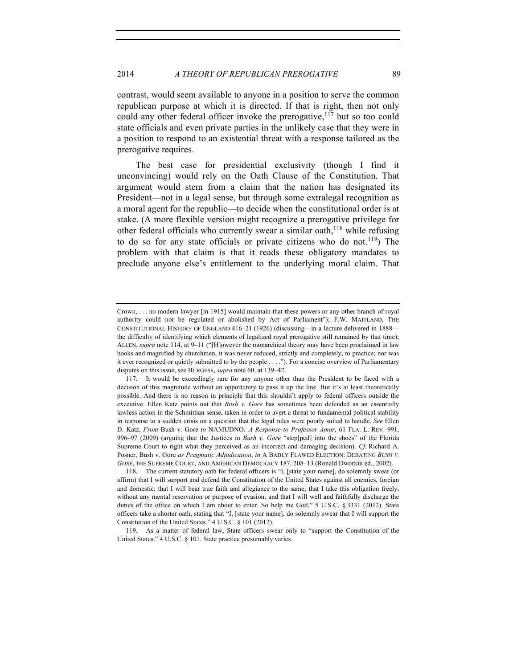contrast, would seem available to anyone in a position to serve the common republican purpose at which it is directed. If that is right, then not only could any other federal officer invoke the prerogative,  $117$  but so too could state officials and even private parties in the unlikely case that they were in a position to respond to an existential threat with a response tailored as the prerogative requires.

The best case for presidential exclusivity (though I find it unconvincing) would rely on the Oath Clause of the Constitution. That argument would stem from a claim that the nation has designated its President—not in a legal sense, but through some extralegal recognition as a moral agent for the republic—to decide when the constitutional order is at stake. (A more flexible version might recognize a prerogative privilege for other federal officials who currently swear a similar oath,  $118$  while refusing to do so for any state officials or private citizens who do not.<sup>119</sup>) The problem with that claim is that it reads these obligatory mandates to preclude anyone else's entitlement to the underlying moral claim. That

119. As a matter of federal law, State officers swear only to "support the Constitution of the United States." 4 U.S.C. § 101. State practice presumably varies.

Crown, . . . no modern lawyer [in 1915] would maintain that these powers or any other branch of royal authority could not be regulated or abolished by Act of Parliament"); F.W. MAITLAND, THE CONSTITUTIONAL HISTORY OF ENGLAND 416–21 (1926) (discussing—in a lecture delivered in 1888 the difficulty of identifying which elements of legalized royal prerogative still remained by that time); ALLEN, *supra* note 114, at 9–11 ("[H]owever the monarchical theory may have been proclaimed in law books and magnified by churchmen, it was never reduced, strictly and completely, to practice; nor was it ever recognized or quietly submitted to by the people . . . ."). For a concise overview of Parliamentary disputes on this issue, see BURGESS, *supra* note 60, at 139–42.

<sup>117.</sup> It would be exceedingly rare for any anyone other than the President to be faced with a decision of this magnitude without an opportunity to pass it up the line. But it's at least theoretically possible. And there is no reason in principle that this shouldn't apply to federal officers outside the executive. Ellen Katz points out that *Bush v. Gore* has sometimes been defended as an essentially lawless action in the Schmittian sense, taken in order to avert a threat to fundamental political stability in response to a sudden crisis on a question that the legal rules were poorly suited to handle. *See* Ellen D. Katz, *From* Bush v. Gore *to* NAMUDNO*: A Response to Professor Amar*, 61 FLA. L. REV. 991, 996–97 (2009) (arguing that the Justices in *Bush v. Gore* "step[ped] into the shoes" of the Florida Supreme Court to right what they perceived as an incorrect and damaging decision). *Cf.* Richard A. Posner, Bush v. Gore *as Pragmatic Adjudication*, *in* A BADLY FLAWED ELECTION: DEBATING *BUSH V. GORE*, THE SUPREME COURT, AND AMERICAN DEMOCRACY 187, 208–13 (Ronald Dworkin ed., 2002).

<sup>118.</sup> The current statutory oath for federal officers is "I, [state your name], do solemnly swear (or affirm) that I will support and defend the Constitution of the United States against all enemies, foreign and domestic; that I will bear true faith and allegiance to the same; that I take this obligation freely, without any mental reservation or purpose of evasion; and that I will well and faithfully discharge the duties of the office on which I am about to enter. So help me God." 5 U.S.C. § 3331 (2012). State officers take a shorter oath, stating that "I, [state your name], do solemnly swear that I will support the Constitution of the United States." 4 U.S.C. § 101 (2012).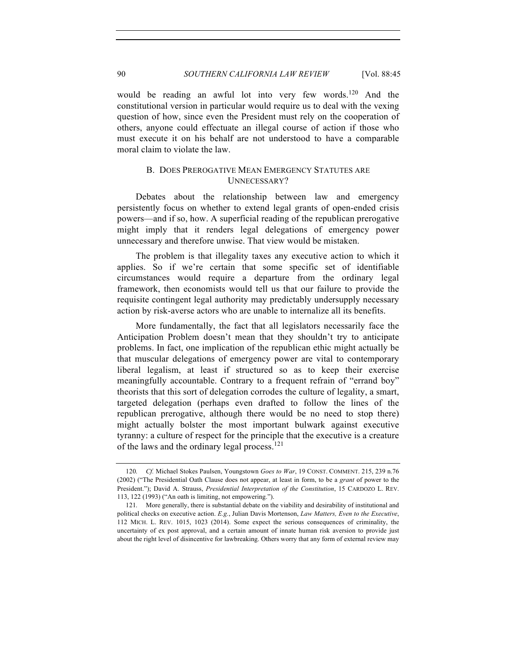would be reading an awful lot into very few words.<sup>120</sup> And the constitutional version in particular would require us to deal with the vexing question of how, since even the President must rely on the cooperation of others, anyone could effectuate an illegal course of action if those who must execute it on his behalf are not understood to have a comparable moral claim to violate the law.

# B. DOES PREROGATIVE MEAN EMERGENCY STATUTES ARE UNNECESSARY?

Debates about the relationship between law and emergency persistently focus on whether to extend legal grants of open-ended crisis powers—and if so, how. A superficial reading of the republican prerogative might imply that it renders legal delegations of emergency power unnecessary and therefore unwise. That view would be mistaken.

The problem is that illegality taxes any executive action to which it applies. So if we're certain that some specific set of identifiable circumstances would require a departure from the ordinary legal framework, then economists would tell us that our failure to provide the requisite contingent legal authority may predictably undersupply necessary action by risk-averse actors who are unable to internalize all its benefits.

More fundamentally, the fact that all legislators necessarily face the Anticipation Problem doesn't mean that they shouldn't try to anticipate problems. In fact, one implication of the republican ethic might actually be that muscular delegations of emergency power are vital to contemporary liberal legalism, at least if structured so as to keep their exercise meaningfully accountable. Contrary to a frequent refrain of "errand boy" theorists that this sort of delegation corrodes the culture of legality, a smart, targeted delegation (perhaps even drafted to follow the lines of the republican prerogative, although there would be no need to stop there) might actually bolster the most important bulwark against executive tyranny: a culture of respect for the principle that the executive is a creature of the laws and the ordinary legal process.<sup>121</sup>

<sup>120.</sup> *Cf.* Michael Stokes Paulsen, Youngstown *Goes to War*, 19 CONST. COMMENT. 215, 239 n.76 (2002) ("The Presidential Oath Clause does not appear, at least in form, to be a *grant* of power to the President."); David A. Strauss, *Presidential Interpretation of the Constitution*, 15 CARDOZO L. REV. 113, 122 (1993) ("An oath is limiting, not empowering.").

<sup>121.</sup> More generally, there is substantial debate on the viability and desirability of institutional and political checks on executive action. *E.g.*, Julian Davis Mortenson, *Law Matters, Even to the Executive*, 112 MICH. L. REV. 1015, 1023 (2014). Some expect the serious consequences of criminality, the uncertainty of ex post approval, and a certain amount of innate human risk aversion to provide just about the right level of disincentive for lawbreaking. Others worry that any form of external review may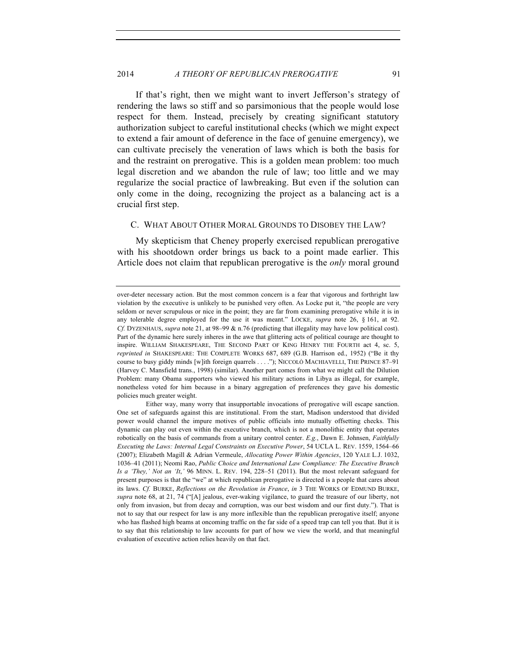If that's right, then we might want to invert Jefferson's strategy of rendering the laws so stiff and so parsimonious that the people would lose respect for them. Instead, precisely by creating significant statutory authorization subject to careful institutional checks (which we might expect to extend a fair amount of deference in the face of genuine emergency), we can cultivate precisely the veneration of laws which is both the basis for and the restraint on prerogative. This is a golden mean problem: too much legal discretion and we abandon the rule of law; too little and we may regularize the social practice of lawbreaking. But even if the solution can only come in the doing, recognizing the project as a balancing act is a crucial first step.

#### C. WHAT ABOUT OTHER MORAL GROUNDS TO DISOBEY THE LAW?

My skepticism that Cheney properly exercised republican prerogative with his shootdown order brings us back to a point made earlier. This Article does not claim that republican prerogative is the *only* moral ground

over-deter necessary action. But the most common concern is a fear that vigorous and forthright law violation by the executive is unlikely to be punished very often. As Locke put it, "the people are very seldom or never scrupulous or nice in the point; they are far from examining prerogative while it is in any tolerable degree employed for the use it was meant." LOCKE, *supra* note 26, § 161, at 92. *Cf.* DYZENHAUS, *supra* note 21, at 98–99 & n.76 (predicting that illegality may have low political cost). Part of the dynamic here surely inheres in the awe that glittering acts of political courage are thought to inspire. WILLIAM SHAKESPEARE, THE SECOND PART OF KING HENRY THE FOURTH act 4, sc. 5, *reprinted in* SHAKESPEARE: THE COMPLETE WORKS 687, 689 (G.B. Harrison ed., 1952) ("Be it thy course to busy giddy minds [w]ith foreign quarrels . . . ."); NICCOLÒ MACHIAVELLI, THE PRINCE 87–91 (Harvey C. Mansfield trans., 1998) (similar). Another part comes from what we might call the Dilution Problem: many Obama supporters who viewed his military actions in Libya as illegal, for example, nonetheless voted for him because in a binary aggregation of preferences they gave his domestic policies much greater weight.

Either way, many worry that insupportable invocations of prerogative will escape sanction. One set of safeguards against this are institutional. From the start, Madison understood that divided power would channel the impure motives of public officials into mutually offsetting checks. This dynamic can play out even within the executive branch, which is not a monolithic entity that operates robotically on the basis of commands from a unitary control center. *E.g.*, Dawn E. Johnsen, *Faithfully Executing the Laws: Internal Legal Constraints on Executive Power*, 54 UCLA L. REV. 1559, 1564–66 (2007); Elizabeth Magill & Adrian Vermeule, *Allocating Power Within Agencies*, 120 YALE L.J. 1032, 1036–41 (2011); Neomi Rao, *Public Choice and International Law Compliance: The Executive Branch Is a 'They,' Not an 'It*,*'* 96 MINN. L. REV. 194, 228–51 (2011). But the most relevant safeguard for present purposes is that the "we" at which republican prerogative is directed is a people that cares about its laws. *Cf.* BURKE, *Reflections on the Revolution in France*, *in* 3 THE WORKS OF EDMUND BURKE, *supra* note 68, at 21, 74 ("[A] jealous, ever-waking vigilance, to guard the treasure of our liberty, not only from invasion, but from decay and corruption, was our best wisdom and our first duty."). That is not to say that our respect for law is any more inflexible than the republican prerogative itself; anyone who has flashed high beams at oncoming traffic on the far side of a speed trap can tell you that. But it is to say that this relationship to law accounts for part of how we view the world, and that meaningful evaluation of executive action relies heavily on that fact.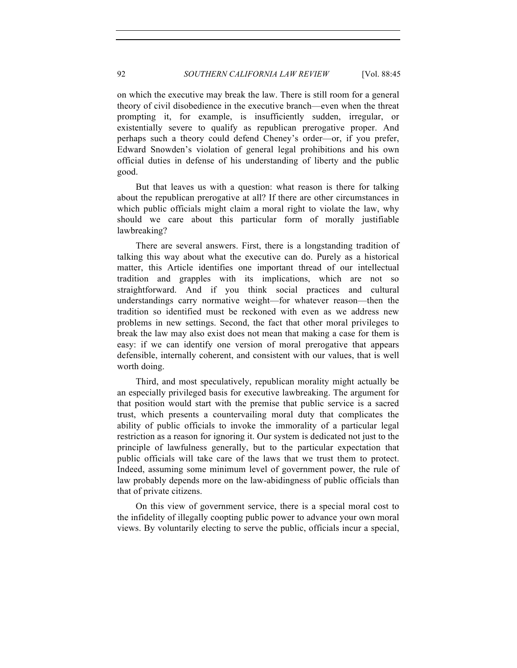on which the executive may break the law. There is still room for a general theory of civil disobedience in the executive branch—even when the threat prompting it, for example, is insufficiently sudden, irregular, or existentially severe to qualify as republican prerogative proper. And perhaps such a theory could defend Cheney's order—or, if you prefer, Edward Snowden's violation of general legal prohibitions and his own official duties in defense of his understanding of liberty and the public good.

But that leaves us with a question: what reason is there for talking about the republican prerogative at all? If there are other circumstances in which public officials might claim a moral right to violate the law, why should we care about this particular form of morally justifiable lawbreaking?

There are several answers. First, there is a longstanding tradition of talking this way about what the executive can do. Purely as a historical matter, this Article identifies one important thread of our intellectual tradition and grapples with its implications, which are not so straightforward. And if you think social practices and cultural understandings carry normative weight—for whatever reason—then the tradition so identified must be reckoned with even as we address new problems in new settings. Second, the fact that other moral privileges to break the law may also exist does not mean that making a case for them is easy: if we can identify one version of moral prerogative that appears defensible, internally coherent, and consistent with our values, that is well worth doing.

Third, and most speculatively, republican morality might actually be an especially privileged basis for executive lawbreaking. The argument for that position would start with the premise that public service is a sacred trust, which presents a countervailing moral duty that complicates the ability of public officials to invoke the immorality of a particular legal restriction as a reason for ignoring it. Our system is dedicated not just to the principle of lawfulness generally, but to the particular expectation that public officials will take care of the laws that we trust them to protect. Indeed, assuming some minimum level of government power, the rule of law probably depends more on the law-abidingness of public officials than that of private citizens.

On this view of government service, there is a special moral cost to the infidelity of illegally coopting public power to advance your own moral views. By voluntarily electing to serve the public, officials incur a special,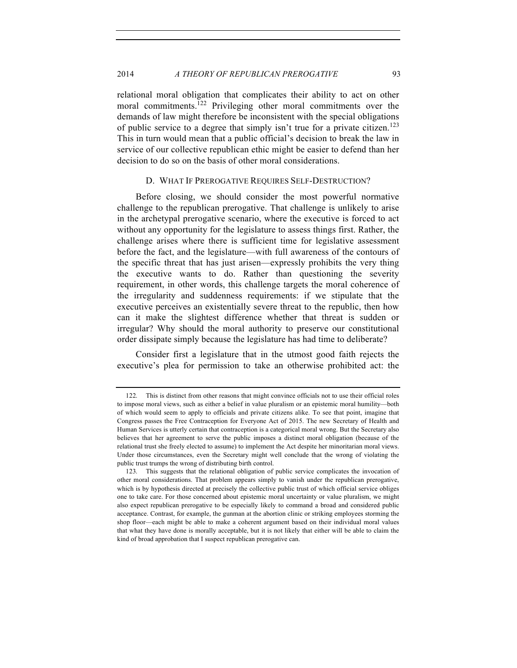## 2014 *A THEORY OF REPUBLICAN PREROGATIVE* 93

relational moral obligation that complicates their ability to act on other moral commitments.<sup>122</sup> Privileging other moral commitments over the demands of law might therefore be inconsistent with the special obligations of public service to a degree that simply isn't true for a private citizen.<sup>123</sup> This in turn would mean that a public official's decision to break the law in service of our collective republican ethic might be easier to defend than her decision to do so on the basis of other moral considerations.

# D. WHAT IF PREROGATIVE REQUIRES SELF-DESTRUCTION?

Before closing, we should consider the most powerful normative challenge to the republican prerogative. That challenge is unlikely to arise in the archetypal prerogative scenario, where the executive is forced to act without any opportunity for the legislature to assess things first. Rather, the challenge arises where there is sufficient time for legislative assessment before the fact, and the legislature—with full awareness of the contours of the specific threat that has just arisen—expressly prohibits the very thing the executive wants to do. Rather than questioning the severity requirement, in other words, this challenge targets the moral coherence of the irregularity and suddenness requirements: if we stipulate that the executive perceives an existentially severe threat to the republic, then how can it make the slightest difference whether that threat is sudden or irregular? Why should the moral authority to preserve our constitutional order dissipate simply because the legislature has had time to deliberate?

Consider first a legislature that in the utmost good faith rejects the executive's plea for permission to take an otherwise prohibited act: the

<sup>122.</sup> This is distinct from other reasons that might convince officials not to use their official roles to impose moral views, such as either a belief in value pluralism or an epistemic moral humility—both of which would seem to apply to officials and private citizens alike. To see that point, imagine that Congress passes the Free Contraception for Everyone Act of 2015. The new Secretary of Health and Human Services is utterly certain that contraception is a categorical moral wrong. But the Secretary also believes that her agreement to serve the public imposes a distinct moral obligation (because of the relational trust she freely elected to assume) to implement the Act despite her minoritarian moral views. Under those circumstances, even the Secretary might well conclude that the wrong of violating the public trust trumps the wrong of distributing birth control.

<sup>123.</sup> This suggests that the relational obligation of public service complicates the invocation of other moral considerations. That problem appears simply to vanish under the republican prerogative, which is by hypothesis directed at precisely the collective public trust of which official service obliges one to take care. For those concerned about epistemic moral uncertainty or value pluralism, we might also expect republican prerogative to be especially likely to command a broad and considered public acceptance. Contrast, for example, the gunman at the abortion clinic or striking employees storming the shop floor—each might be able to make a coherent argument based on their individual moral values that what they have done is morally acceptable, but it is not likely that either will be able to claim the kind of broad approbation that I suspect republican prerogative can.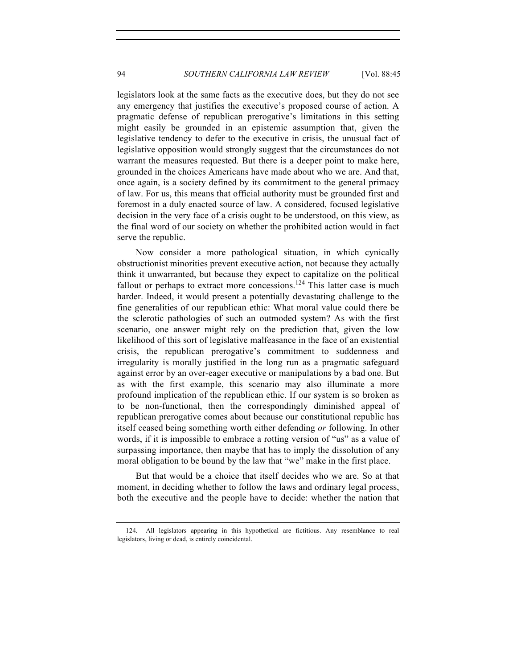legislators look at the same facts as the executive does, but they do not see any emergency that justifies the executive's proposed course of action. A pragmatic defense of republican prerogative's limitations in this setting might easily be grounded in an epistemic assumption that, given the legislative tendency to defer to the executive in crisis, the unusual fact of legislative opposition would strongly suggest that the circumstances do not warrant the measures requested. But there is a deeper point to make here, grounded in the choices Americans have made about who we are. And that, once again, is a society defined by its commitment to the general primacy of law. For us, this means that official authority must be grounded first and foremost in a duly enacted source of law. A considered, focused legislative decision in the very face of a crisis ought to be understood, on this view, as the final word of our society on whether the prohibited action would in fact serve the republic.

Now consider a more pathological situation, in which cynically obstructionist minorities prevent executive action, not because they actually think it unwarranted, but because they expect to capitalize on the political fallout or perhaps to extract more concessions.<sup>124</sup> This latter case is much harder. Indeed, it would present a potentially devastating challenge to the fine generalities of our republican ethic: What moral value could there be the sclerotic pathologies of such an outmoded system? As with the first scenario, one answer might rely on the prediction that, given the low likelihood of this sort of legislative malfeasance in the face of an existential crisis, the republican prerogative's commitment to suddenness and irregularity is morally justified in the long run as a pragmatic safeguard against error by an over-eager executive or manipulations by a bad one. But as with the first example, this scenario may also illuminate a more profound implication of the republican ethic. If our system is so broken as to be non-functional, then the correspondingly diminished appeal of republican prerogative comes about because our constitutional republic has itself ceased being something worth either defending *or* following. In other words, if it is impossible to embrace a rotting version of "us" as a value of surpassing importance, then maybe that has to imply the dissolution of any moral obligation to be bound by the law that "we" make in the first place.

But that would be a choice that itself decides who we are. So at that moment, in deciding whether to follow the laws and ordinary legal process, both the executive and the people have to decide: whether the nation that

<sup>124.</sup> All legislators appearing in this hypothetical are fictitious. Any resemblance to real legislators, living or dead, is entirely coincidental.